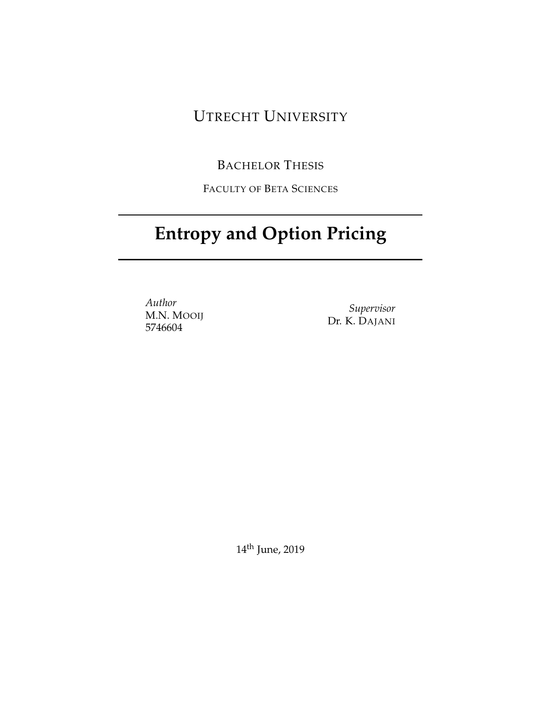# UTRECHT UNIVERSITY

# BACHELOR THESIS

FACULTY OF BETA SCIENCES

# **Entropy and Option Pricing**

*Author* M.N. MOOIJ 5746604

*Supervisor* Dr. K. DAJANI

14th June, 2019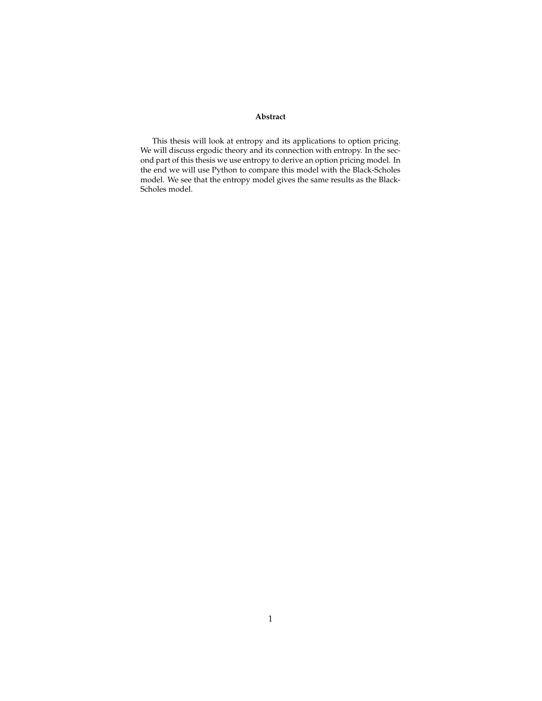#### **Abstract**

This thesis will look at entropy and its applications to option pricing. We will discuss ergodic theory and its connection with entropy. In the second part of this thesis we use entropy to derive an option pricing model. In the end we will use Python to compare this model with the Black-Scholes model. We see that the entropy model gives the same results as the Black-Scholes model.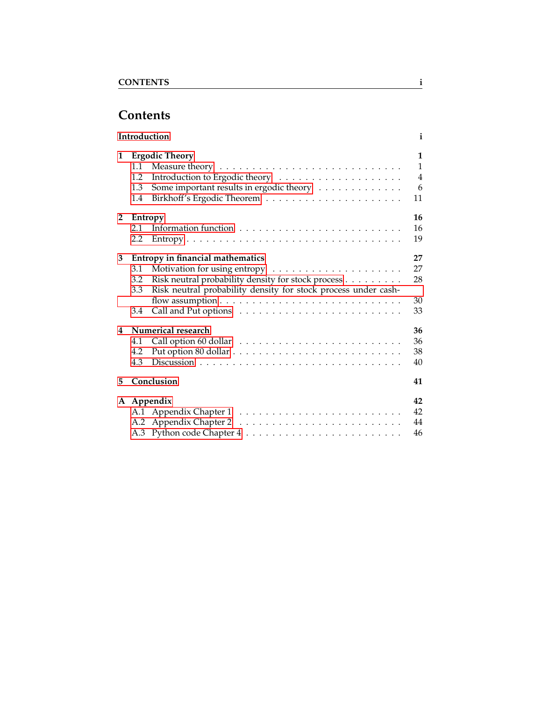# <span id="page-2-0"></span>**Contents**

|                | Introduction                                                                                                                                                                         | $\mathbf{i}$                                   |
|----------------|--------------------------------------------------------------------------------------------------------------------------------------------------------------------------------------|------------------------------------------------|
| 1              | <b>Ergodic Theory</b><br>1.1<br>1.2<br>Some important results in ergodic theory<br>1.3<br>1.4                                                                                        | 1<br>$\mathbf{1}$<br>$\overline{4}$<br>6<br>11 |
| $\overline{2}$ | Entropy<br>2.1<br>2.2                                                                                                                                                                | 16<br>16<br>19                                 |
| 3              | <b>Entropy in financial mathematics</b><br>3.1<br>Risk neutral probability density for stock process<br>3.2<br>Risk neutral probability density for stock process under cash-<br>3.3 | 27<br>27<br>28                                 |
|                | 3.4                                                                                                                                                                                  | 30<br>33                                       |
| 4              | Numerical research<br>4.1<br>4.2<br>4.3                                                                                                                                              | 36<br>36<br>38<br>40                           |
| 5              | Conclusion                                                                                                                                                                           | 41                                             |
|                | A Appendix                                                                                                                                                                           | 42<br>42<br>44<br>46                           |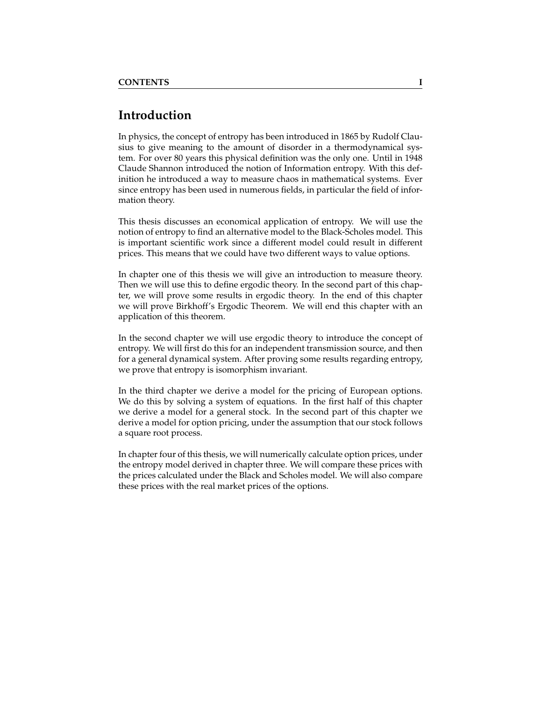# **Introduction**

In physics, the concept of entropy has been introduced in 1865 by Rudolf Clausius to give meaning to the amount of disorder in a thermodynamical system. For over 80 years this physical definition was the only one. Until in 1948 Claude Shannon introduced the notion of Information entropy. With this definition he introduced a way to measure chaos in mathematical systems. Ever since entropy has been used in numerous fields, in particular the field of information theory.

This thesis discusses an economical application of entropy. We will use the notion of entropy to find an alternative model to the Black-Scholes model. This is important scientific work since a different model could result in different prices. This means that we could have two different ways to value options.

In chapter one of this thesis we will give an introduction to measure theory. Then we will use this to define ergodic theory. In the second part of this chapter, we will prove some results in ergodic theory. In the end of this chapter we will prove Birkhoff's Ergodic Theorem. We will end this chapter with an application of this theorem.

In the second chapter we will use ergodic theory to introduce the concept of entropy. We will first do this for an independent transmission source, and then for a general dynamical system. After proving some results regarding entropy, we prove that entropy is isomorphism invariant.

In the third chapter we derive a model for the pricing of European options. We do this by solving a system of equations. In the first half of this chapter we derive a model for a general stock. In the second part of this chapter we derive a model for option pricing, under the assumption that our stock follows a square root process.

In chapter four of this thesis, we will numerically calculate option prices, under the entropy model derived in chapter three. We will compare these prices with the prices calculated under the Black and Scholes model. We will also compare these prices with the real market prices of the options.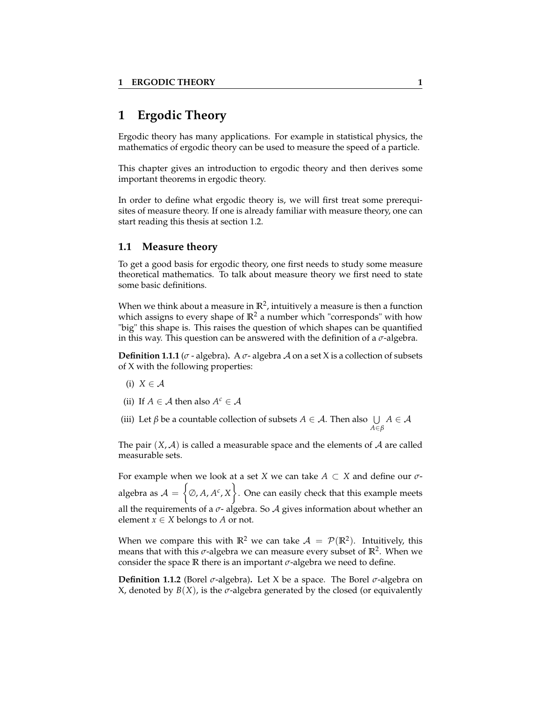# <span id="page-4-0"></span>**1 Ergodic Theory**

Ergodic theory has many applications. For example in statistical physics, the mathematics of ergodic theory can be used to measure the speed of a particle.

This chapter gives an introduction to ergodic theory and then derives some important theorems in ergodic theory.

In order to define what ergodic theory is, we will first treat some prerequisites of measure theory. If one is already familiar with measure theory, one can start reading this thesis at section 1.2.

#### <span id="page-4-1"></span>**1.1 Measure theory**

To get a good basis for ergodic theory, one first needs to study some measure theoretical mathematics. To talk about measure theory we first need to state some basic definitions.

When we think about a measure in  $\mathbb{R}^2$ , intuitively a measure is then a function which assigns to every shape of  $\mathbb{R}^2$  a number which "corresponds" with how "big" this shape is. This raises the question of which shapes can be quantified in this way. This question can be answered with the definition of a *σ*-algebra.

**Definition 1.1.1** ( $\sigma$  - algebra). A  $\sigma$ - algebra A on a set X is a collection of subsets of X with the following properties:

- (i)  $X \in \mathcal{A}$
- (ii) If  $A \in \mathcal{A}$  then also  $A^c \in \mathcal{A}$
- (iii) Let  $\beta$  be a countable collection of subsets  $A \in \mathcal{A}$ . Then also  $\bigcup$ *A*∈*β*  $A \in \mathcal{A}$

The pair  $(X, \mathcal{A})$  is called a measurable space and the elements of  $\mathcal{A}$  are called measurable sets.

For example when we look at a set *X* we can take *A* ⊂ *X* and define our *σ*algebra as  $\mathcal{A} = \left\{ \varnothing, A, A^c, X \right\}$ . One can easily check that this example meets all the requirements of a  $\sigma$ - algebra. So  $\mathcal A$  gives information about whether an element  $x \in X$  belongs to *A* or not.

When we compare this with  $\mathbb{R}^2$  we can take  $\mathcal{A} = \mathcal{P}(\mathbb{R}^2)$ . Intuitively, this means that with this *σ*-algebra we can measure every subset of **R**<sup>2</sup> . When we consider the space **R** there is an important *σ*-algebra we need to define.

**Definition 1.1.2** (Borel *σ*-algebra)**.** Let X be a space. The Borel *σ*-algebra on X, denoted by  $B(X)$ , is the  $\sigma$ -algebra generated by the closed (or equivalently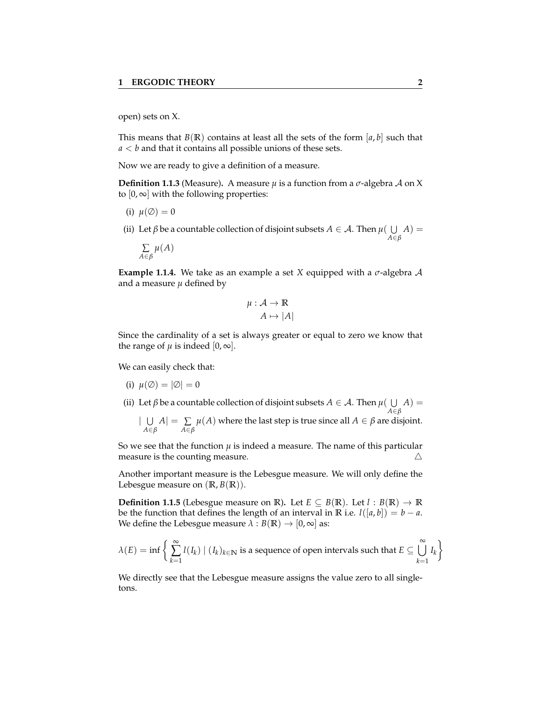open) sets on X.

This means that  $B(\mathbb{R})$  contains at least all the sets of the form [a, b] such that *a* < *b* and that it contains all possible unions of these sets.

Now we are ready to give a definition of a measure.

**Definition 1.1.3** (Measure). A measure  $\mu$  is a function from a  $\sigma$ -algebra A on X to  $[0, \infty]$  with the following properties:

- (i)  $\mu(\emptyset) = 0$
- (ii) Let  $\beta$  be a countable collection of disjoint subsets  $A \in \mathcal{A}$ . Then  $\mu(\bigcup A) =$ *A*∈*β*

$$
\sum_{A \in \beta} \mu(A)
$$

**Example 1.1.4.** We take as an example a set *X* equipped with a *σ*-algebra A and a measure *µ* defined by

$$
\mu: \mathcal{A} \to \mathbb{R}
$$

$$
A \mapsto |A|
$$

Since the cardinality of a set is always greater or equal to zero we know that the range of  $\mu$  is indeed  $[0, \infty]$ .

We can easily check that:

(i) 
$$
\mu(\emptyset) = |\emptyset| = 0
$$

(ii) Let  $\beta$  be a countable collection of disjoint subsets  $A \in \mathcal{A}$ . Then  $\mu(\bigcup A) =$ *A*∈*β*

 $\mid$   $\cup$ *A*∈*β A*| = ∑ *A*∈*β*  $\mu(A)$  where the last step is true since all  $A\in\beta$  are disjoint.

So we see that the function  $\mu$  is indeed a measure. The name of this particular measure is the counting measure.  $\triangle$ 

Another important measure is the Lebesgue measure. We will only define the Lebesgue measure on  $(R, B(R))$ .

**Definition 1.1.5** (Lebesgue measure on **R**). Let  $E \subseteq B(\mathbb{R})$ . Let  $l : B(\mathbb{R}) \to \mathbb{R}$ be the function that defines the length of an interval in **R** i.e.  $l([a, b]) = b - a$ . We define the Lebesgue measure  $\lambda : B(\mathbb{R}) \to [0, \infty]$  as:

$$
\lambda(E) = \inf \left\{ \sum_{k=1}^{\infty} l(I_k) \mid (I_k)_{k \in \mathbb{N}} \text{ is a sequence of open intervals such that } E \subseteq \bigcup_{k=1}^{\infty} I_k \right\}
$$

We directly see that the Lebesgue measure assigns the value zero to all singletons.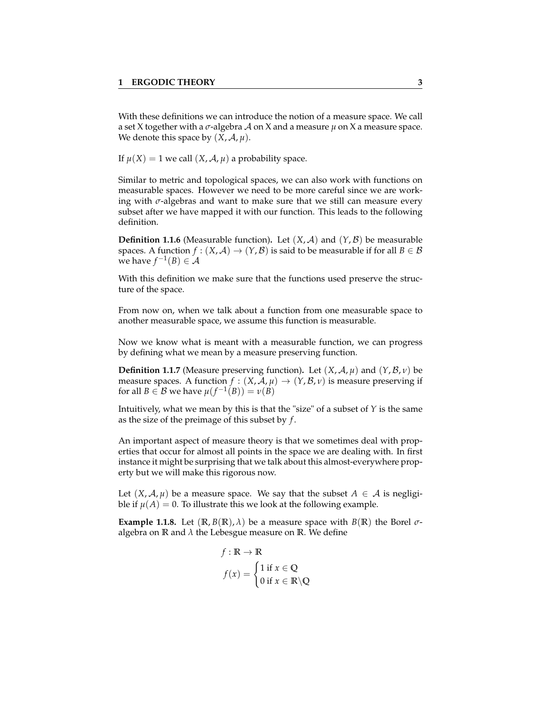With these definitions we can introduce the notion of a measure space. We call a set X together with a *σ*-algebra A on X and a measure *µ* on X a measure space. We denote this space by  $(X, \mathcal{A}, \mu)$ .

If  $\mu(X) = 1$  we call  $(X, \mathcal{A}, \mu)$  a probability space.

Similar to metric and topological spaces, we can also work with functions on measurable spaces. However we need to be more careful since we are working with *σ*-algebras and want to make sure that we still can measure every subset after we have mapped it with our function. This leads to the following definition.

**Definition 1.1.6** (Measurable function). Let  $(X, \mathcal{A})$  and  $(Y, \mathcal{B})$  be measurable spaces. A function  $f : (X, A) \to (Y, B)$  is said to be measurable if for all  $B \in B$ we have  $f^{-1}(B) \in \mathcal{A}$ 

With this definition we make sure that the functions used preserve the structure of the space.

From now on, when we talk about a function from one measurable space to another measurable space, we assume this function is measurable.

Now we know what is meant with a measurable function, we can progress by defining what we mean by a measure preserving function.

**Definition 1.1.7** (Measure preserving function). Let  $(X, \mathcal{A}, \mu)$  and  $(Y, \mathcal{B}, \nu)$  be measure spaces. A function  $f : (X, \mathcal{A}, \mu) \to (Y, \mathcal{B}, \nu)$  is measure preserving if for all  $B \in \mathcal{B}$  we have  $\mu(f^{-1}(B)) = \nu(B)$ 

Intuitively, what we mean by this is that the "size" of a subset of *Y* is the same as the size of the preimage of this subset by *f* .

An important aspect of measure theory is that we sometimes deal with properties that occur for almost all points in the space we are dealing with. In first instance it might be surprising that we talk about this almost-everywhere property but we will make this rigorous now.

Let  $(X, \mathcal{A}, \mu)$  be a measure space. We say that the subset  $A \in \mathcal{A}$  is negligible if  $\mu(A) = 0$ . To illustrate this we look at the following example.

**Example 1.1.8.** Let  $(\mathbb{R}, B(\mathbb{R}), \lambda)$  be a measure space with  $B(\mathbb{R})$  the Borel  $\sigma$ algebra on  $\mathbb R$  and  $\lambda$  the Lebesgue measure on  $\mathbb R$ . We define

$$
f : \mathbb{R} \to \mathbb{R}
$$

$$
f(x) = \begin{cases} 1 \text{ if } x \in \mathbb{Q} \\ 0 \text{ if } x \in \mathbb{R} \setminus \mathbb{Q} \end{cases}
$$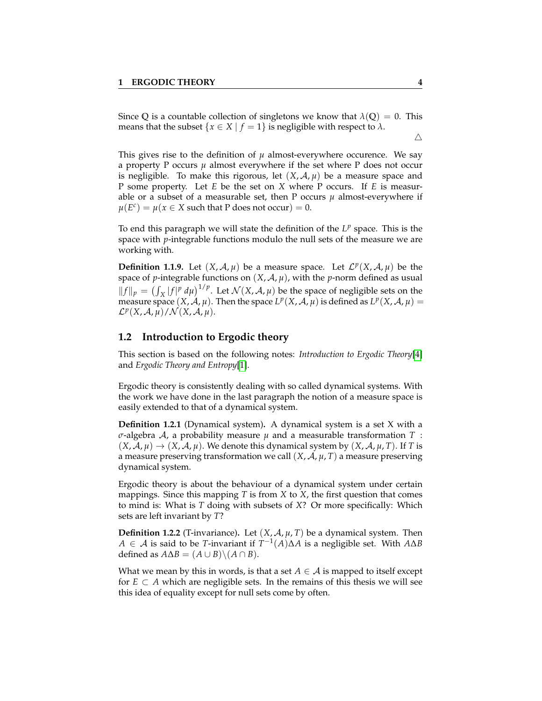Since Q is a countable collection of singletons we know that  $\lambda$ (Q) = 0. This means that the subset  $\{x \in X \mid f = 1\}$  is negligible with respect to  $\lambda$ .

 $\triangle$ 

This gives rise to the definition of  $\mu$  almost-everywhere occurence. We say a property P occurs  $\mu$  almost everywhere if the set where P does not occur is negligible. To make this rigorous, let  $(X, \mathcal{A}, \mu)$  be a measure space and P some property. Let *E* be the set on *X* where P occurs. If *E* is measurable or a subset of a measurable set, then P occurs  $\mu$  almost-everywhere if  $\mu(E^c) = \mu(x \in X \text{ such that P does not occur}) = 0.$ 

To end this paragraph we will state the definition of the  $L^p$  space. This is the space with *p*-integrable functions modulo the null sets of the measure we are working with.

**Definition 1.1.9.** Let  $(X, \mathcal{A}, \mu)$  be a measure space. Let  $\mathcal{L}^p(X, \mathcal{A}, \mu)$  be the space of *p*-integrable functions on  $(X, \mathcal{A}, \mu)$ , with the *p*-norm defined as usual  $||f||_p = (\int_X |f|^p d\mu)^{1/p}$ . Let  $\mathcal{N}(X, \mathcal{A}, \mu)$  be the space of negligible sets on the measure space  $(X, \mathcal{A}, \mu)$ . Then the space  $L^p(X, \mathcal{A}, \mu)$  is defined as  $L^p(X, \mathcal{A}, \mu) =$  $\mathcal{L}^p(X, \mathcal{A}, \overline{\mu})/\mathcal{N}(X, \mathcal{A}, \mu).$ 

#### <span id="page-7-0"></span>**1.2 Introduction to Ergodic theory**

This section is based on the following notes: *Introduction to Ergodic Theory*[\[4\]](#page-52-0) and *Ergodic Theory and Entropy*[\[1\]](#page-52-1).

Ergodic theory is consistently dealing with so called dynamical systems. With the work we have done in the last paragraph the notion of a measure space is easily extended to that of a dynamical system.

**Definition 1.2.1** (Dynamical system)**.** A dynamical system is a set X with a *σ*-algebra A, a probability measure *µ* and a measurable transformation *T* :  $(X, \mathcal{A}, \mu) \rightarrow (X, \mathcal{A}, \mu)$ . We denote this dynamical system by  $(X, \mathcal{A}, \mu, T)$ . If *T* is a measure preserving transformation we call  $(X, \mathcal{A}, \mu, T)$  a measure preserving dynamical system.

Ergodic theory is about the behaviour of a dynamical system under certain mappings. Since this mapping *T* is from *X* to *X*, the first question that comes to mind is: What is *T* doing with subsets of *X*? Or more specifically: Which sets are left invariant by *T*?

**Definition 1.2.2** (T-invariance). Let  $(X, \mathcal{A}, \mu, T)$  be a dynamical system. Then *A* ∈ A is said to be *T*-invariant if *T* −1 (*A*)∆*A* is a negligible set. With *A*∆*B* defined as  $A\Delta B = (A \cup B) \setminus (A \cap B)$ .

What we mean by this in words, is that a set  $A \in \mathcal{A}$  is mapped to itself except for  $E \subset A$  which are negligible sets. In the remains of this thesis we will see this idea of equality except for null sets come by often.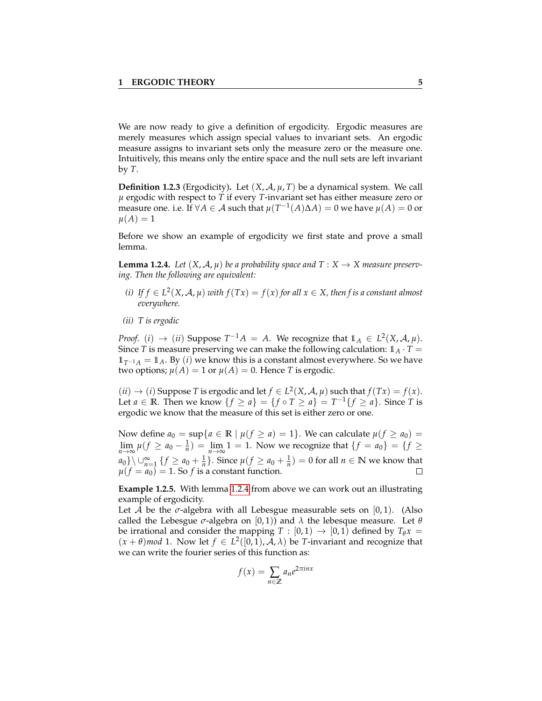We are now ready to give a definition of ergodicity. Ergodic measures are merely measures which assign special values to invariant sets. An ergodic measure assigns to invariant sets only the measure zero or the measure one. Intuitively, this means only the entire space and the null sets are left invariant by *T*.

**Definition 1.2.3** (Ergodicity). Let  $(X, \mathcal{A}, \mu, T)$  be a dynamical system. We call *µ* ergodic with respect to *T* if every *T*-invariant set has either measure zero or  $\hat{\mu}$  measure one. i.e. If  $\forall A \in \mathcal{A}$  such that  $\mu(T^{-1}(A)\Delta A) = 0$  we have  $\mu(A) = 0$  or  $\mu(A) = 1$ 

Before we show an example of ergodicity we first state and prove a small lemma.

<span id="page-8-0"></span>**Lemma 1.2.4.** Let  $(X, \mathcal{A}, \mu)$  be a probability space and  $T : X \rightarrow X$  measure preserv*ing. Then the following are equivalent:*

- *(i) If f* ∈ *L* 2 (*X*, A, *µ*) *with f*(*Tx*) = *f*(*x*) *for all x* ∈ *X, then f is a constant almost everywhere.*
- *(ii) T is ergodic*

*Proof.* (*i*)  $\rightarrow$  (*ii*) Suppose  $T^{-1}A = A$ . We recognize that  $1_A \in L^2(X, \mathcal{A}, \mu)$ . Since *T* is measure preserving we can make the following calculation:  $1_A \cdot T =$  $1<sub>T-1</sub><sub>A</sub> = 1<sub>A</sub>$ . By (*i*) we know this is a constant almost everywhere. So we have two options;  $\mu(A) = 1$  or  $\mu(A) = 0$ . Hence *T* is ergodic.

 $(ii) \rightarrow (i)$  Suppose *T* is ergodic and let  $f \in L^2(X, \mathcal{A}, \mu)$  such that  $f(Tx) = f(x)$ . Let  $a \in \mathbb{R}$ . Then we know  $\{f \ge a\} = \{f \circ T \ge a\} = T^{-1}\{f \ge a\}$ . Since *T* is ergodic we know that the measure of this set is either zero or one.

Now define  $a_0 = \sup\{a \in \mathbb{R} \mid \mu(f \ge a) = 1\}$ . We can calculate  $\mu(f \ge a_0) =$  $\lim_{n\to\infty}\mu(f \ge a_0 - \frac{1}{n}) = \lim_{n\to\infty}1 = 1$ . Now we recognize that  $\{f = a_0\} = \{f \ge$ *a*<sub>0</sub>}\ ∪ ${}_{n=1}^{\infty}$  {*f* ≥ *a*<sub>0</sub> +  $\frac{1}{n}$ }. Since  $\mu$ (*f* ≥ *a*<sub>0</sub> +  $\frac{1}{n}$ ) = 0 for all *n* ∈ **N** we know that  $\mu(f = a_0) = 1$ . So *f* is a constant function.  $\Box$ 

**Example 1.2.5.** With lemma [1.2.4](#page-8-0) from above we can work out an illustrating example of ergodicity.

Let A be the  $\sigma$ -algebra with all Lebesgue measurable sets on  $[0, 1)$ . (Also called the Lebesgue  $\sigma$ -algebra on  $[0, 1)$  and  $\lambda$  the lebesque measure. Let  $\theta$ be irrational and consider the mapping  $T : [0,1) \rightarrow [0,1)$  defined by  $T_{\theta}x =$  $(x + \theta)$  *mod* 1. Now let  $f \in L^2([0,1), \mathcal{A}, \lambda)$  be *T*-invariant and recognize that we can write the fourier series of this function as:

$$
f(x) = \sum_{n \in \mathbb{Z}} a_n e^{2\pi i n x}
$$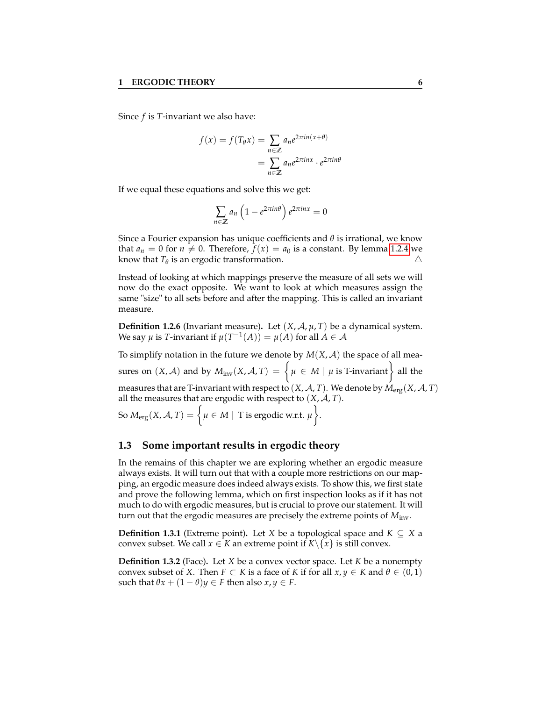Since *f* is *T*-invariant we also have:

$$
f(x) = f(T_{\theta}x) = \sum_{n \in \mathbb{Z}} a_n e^{2\pi i n(x + \theta)}
$$
  
= 
$$
\sum_{n \in \mathbb{Z}} a_n e^{2\pi i n x} \cdot e^{2\pi i n \theta}
$$

If we equal these equations and solve this we get:

$$
\sum_{n\in\mathbb{Z}} a_n \left(1 - e^{2\pi i n\theta}\right) e^{2\pi i n x} = 0
$$

Since a Fourier expansion has unique coefficients and *θ* is irrational, we know that  $a_n = 0$  for  $n \neq 0$ . Therefore,  $f(x) = a_0$  is a constant. By lemma [1.2.4](#page-8-0) we know that  $T_{\theta}$  is an ergodic transformation.  $\triangle$ 

Instead of looking at which mappings preserve the measure of all sets we will now do the exact opposite. We want to look at which measures assign the same "size" to all sets before and after the mapping. This is called an invariant measure.

**Definition 1.2.6** (Invariant measure). Let  $(X, \mathcal{A}, \mu, T)$  be a dynamical system. We say  $\mu$  is *T*-invariant if  $\mu(T^{-1}(A)) = \mu(A)$  for all  $A \in \mathcal{A}$ 

To simplify notation in the future we denote by  $M(X, \mathcal{A})$  the space of all measures on  $(X, \mathcal{A})$  and by  $M_{\text{inv}}(X, \mathcal{A}, T) = \Big\{\mu \in M \mid \mu \text{ is T-invariant} \Big\}$  all the measures that are T-invariant with respect to  $(X, \mathcal{A}, T)$ . We denote by  $M_{\text{erg}}(X, \mathcal{A}, T)$ all the measures that are ergodic with respect to  $(X, \mathcal{A}, T)$ .

 $\text{So } M_{\text{erg}}(X, \mathcal{A}, T) = \Big\{ \mu \in M \mid \text{ T is ergodic w.r.t. } \mu \Big\}.$ 

#### <span id="page-9-0"></span>**1.3 Some important results in ergodic theory**

In the remains of this chapter we are exploring whether an ergodic measure always exists. It will turn out that with a couple more restrictions on our mapping, an ergodic measure does indeed always exists. To show this, we first state and prove the following lemma, which on first inspection looks as if it has not much to do with ergodic measures, but is crucial to prove our statement. It will turn out that the ergodic measures are precisely the extreme points of *M*inv.

**Definition 1.3.1** (Extreme point). Let *X* be a topological space and  $K \subseteq X$  a convex subset. We call  $x \in K$  an extreme point if  $K \setminus \{x\}$  is still convex.

**Definition 1.3.2** (Face)**.** Let *X* be a convex vector space. Let *K* be a nonempty convex subset of *X*. Then  $F \subset K$  is a face of *K* if for all  $x, y \in K$  and  $\theta \in (0, 1)$ such that  $\theta x + (1 - \theta)y \in F$  then also  $x, y \in F$ .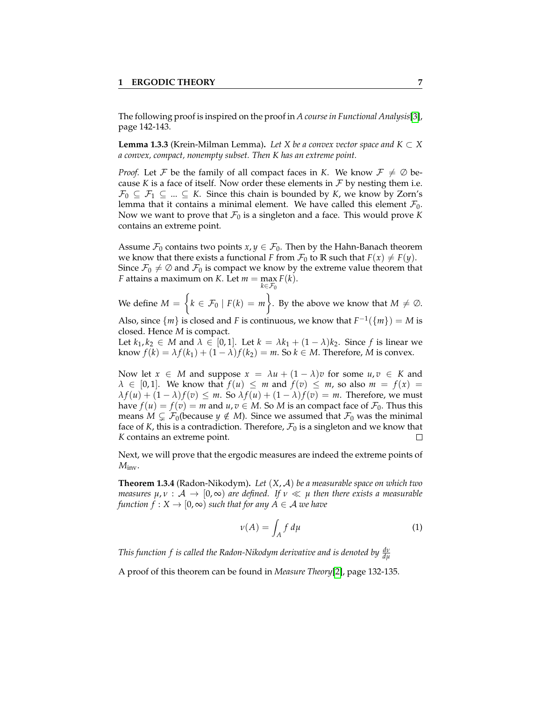The following proof is inspired on the proof in *A course in Functional Analysis*[\[3\]](#page-52-2), page 142-143.

<span id="page-10-1"></span>**Lemma 1.3.3** (Krein-Milman Lemma). Let X be a convex vector space and  $K \subset X$ *a convex, compact, nonempty subset. Then K has an extreme point.*

*Proof.* Let F be the family of all compact faces in *K*. We know  $F \neq \emptyset$  because *K* is a face of itself. Now order these elements in  $\mathcal F$  by nesting them i.e.  $\mathcal{F}_0 \subseteq \mathcal{F}_1 \subseteq ... \subseteq K$ . Since this chain is bounded by *K*, we know by Zorn's lemma that it contains a minimal element. We have called this element  $\mathcal{F}_0$ . Now we want to prove that  $\mathcal{F}_0$  is a singleton and a face. This would prove *K* contains an extreme point.

Assume  $\mathcal{F}_0$  contains two points  $x, y \in \mathcal{F}_0$ . Then by the Hahn-Banach theorem we know that there exists a functional *F* from  $\mathcal{F}_0$  to **R** such that  $F(x) \neq F(y)$ . Since  $\mathcal{F}_0 \neq \emptyset$  and  $\mathcal{F}_0$  is compact we know by the extreme value theorem that *F* attains a maximum on *K*. Let  $m = \max F(k)$ . *k*∈F<sup>0</sup>

We define  $M = \{k \in \mathcal{F}_0 \mid F(k) = m\}$ . By the above we know that  $M \neq \emptyset$ .

Also, since  $\{m\}$  is closed and *F* is continuous, we know that  $F^{-1}(\{m\}) = M$  is closed. Hence *M* is compact.

Let  $k_1, k_2 \in M$  and  $\lambda \in [0, 1]$ . Let  $k = \lambda k_1 + (1 - \lambda)k_2$ . Since f is linear we know  $f(k) = \lambda f(k_1) + (1 - \lambda)f(k_2) = m$ . So  $k \in M$ . Therefore, *M* is convex.

Now let  $x \in M$  and suppose  $x = \lambda u + (1 - \lambda)v$  for some  $u, v \in K$  and  $\lambda \in [0, 1]$ . We know that  $f(u) \leq m$  and  $f(v) \leq m$ , so also  $m = f(x)$  $\lambda f(u) + (1 - \lambda)f(v) \leq m$ . So  $\lambda f(u) + (1 - \lambda)f(v) = m$ . Therefore, we must have  $f(u) = f(v) = m$  and  $u, v \in M$ . So M is an compact face of  $\mathcal{F}_0$ . Thus this means  $M \subsetneq \mathcal{F}_0$  (because  $y \notin M$ ). Since we assumed that  $\mathcal{F}_0$  was the minimal face of *K*, this is a contradiction. Therefore,  $\mathcal{F}_0$  is a singleton and we know that *K* contains an extreme point.  $\Box$ 

Next, we will prove that the ergodic measures are indeed the extreme points of *M*inv.

<span id="page-10-0"></span>**Theorem 1.3.4** (Radon-Nikodym)**.** *Let* (*X*, A) *be a measurable space on which two measures*  $\mu, \nu : A \rightarrow [0, \infty)$  *are defined. If*  $\nu \ll \mu$  *then there exists a measurable function*  $f: X \to [0, \infty)$  *such that for any*  $A \in \mathcal{A}$  *we have* 

$$
\nu(A) = \int_A f \, d\mu \tag{1}
$$

*This function*  $f$  *is called the Radon-Nikodym derivative and is denoted by*  $\frac{d\mathbf{v}}{d\mathbf{\mu}}$ 

A proof of this theorem can be found in *Measure Theory*[\[2\]](#page-52-3), page 132-135.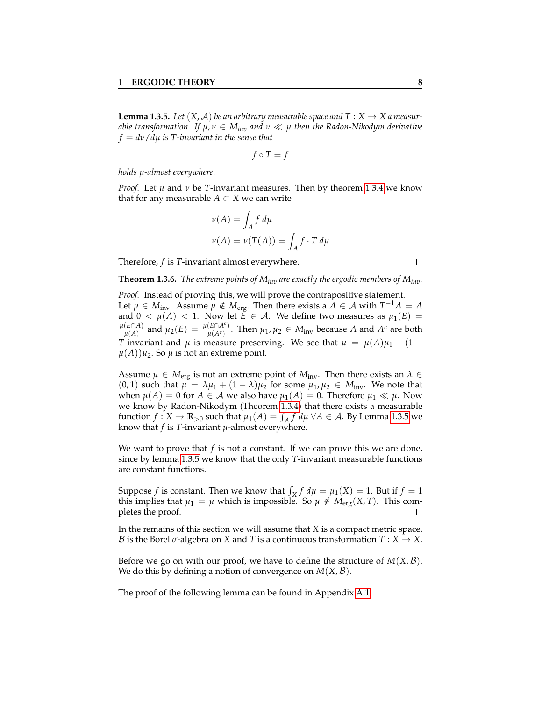<span id="page-11-0"></span>**Lemma 1.3.5.** Let  $(X, \mathcal{A})$  be an arbitrary measurable space and  $T : X \to X$  a measur*able transformation. If*  $\mu, \nu \in M_{inv}$  *and*  $\nu \ll \mu$  *then the Radon-Nikodym derivative f* = *dν*/*dµ is T-invariant in the sense that*

$$
f \circ T = f
$$

*holds µ-almost everywhere.*

*Proof.* Let  $\mu$  and  $\nu$  be *T*-invariant measures. Then by theorem [1.3.4](#page-10-0) we know that for any measurable  $A \subset X$  we can write

$$
\nu(A) = \int_A f d\mu
$$
  

$$
\nu(A) = \nu(T(A)) = \int_A f \cdot T d\mu
$$

Therefore, *f* is *T*-invariant almost everywhere.

<span id="page-11-1"></span>**Theorem 1.3.6.** *The extreme points of Minv are exactly the ergodic members of Minv.*

*Proof.* Instead of proving this, we will prove the contrapositive statement. Let  $\mu \in M_{\text{inv}}$ . Assume  $\mu \notin M_{\text{erg}}$ . Then there exists a  $\tilde{A} \in \mathcal{A}$  with  $T^{-1}A = A$ and  $0 < \mu(A) < 1$ . Now let  $\vec{E} \in \mathcal{A}$ . We define two measures as  $\mu_1(E) =$ *µ*(*E*∩*A*)  $\frac{(\widehat{E} \cap A)}{\mu(A)}$  and  $\mu_2(E) = \frac{\mu(E \cap A^c)}{\mu(A^c)}$  $\frac{\mu(A^c)}{\mu(A^c)}$ . Then  $\mu_1, \mu_2 \in M_{\text{inv}}$  because *A* and  $A^c$  are both *T*-invariant and *µ* is measure preserving. We see that  $\mu = \mu(A)\mu_1 + (1 \mu(A)$ ) $\mu_2$ . So  $\mu$  is not an extreme point.

Assume  $\mu \in M_{\text{erg}}$  is not an extreme point of  $M_{\text{inv}}$ . Then there exists an  $\lambda \in$  $(0, 1)$  such that  $\mu = \lambda \mu_1 + (1 - \lambda) \mu_2$  for some  $\mu_1, \mu_2 \in M_{inv}$ . We note that when  $\mu(A) = 0$  for  $A \in \mathcal{A}$  we also have  $\mu_1(A) = 0$ . Therefore  $\mu_1 \ll \mu$ . Now we know by Radon-Nikodym (Theorem [1.3.4\)](#page-10-0) that there exists a measurable function  $f: X \to \mathbb{R}_{>0}$  such that  $\mu_1(A) = \int_A f d\mu \ \forall A \in \mathcal{A}$ . By Lemma [1.3.5](#page-11-0) we know that  $f$  is  $T$ -invariant  $\mu$ -almost everywhere.

We want to prove that *f* is not a constant. If we can prove this we are done, since by lemma [1.3.5](#page-11-0) we know that the only *T*-invariant measurable functions are constant functions.

Suppose *f* is constant. Then we know that  $\int_X f d\mu = \mu_1(X) = 1$ . But if  $f = 1$ this implies that  $\mu_1 = \mu$  which is impossible. So  $\mu \notin M_{\text{erg}}(X,T)$ . This completes the proof.  $\Box$ 

In the remains of this section we will assume that *X* is a compact metric space, *B* is the Borel  $\sigma$ -algebra on *X* and *T* is a continuous transformation  $T : X \to X$ .

Before we go on with our proof, we have to define the structure of  $M(X,\mathcal{B})$ . We do this by defining a notion of convergence on *M*(*X*, B).

The proof of the following lemma can be found in Appendix [A.1.](#page-45-1)

 $\Box$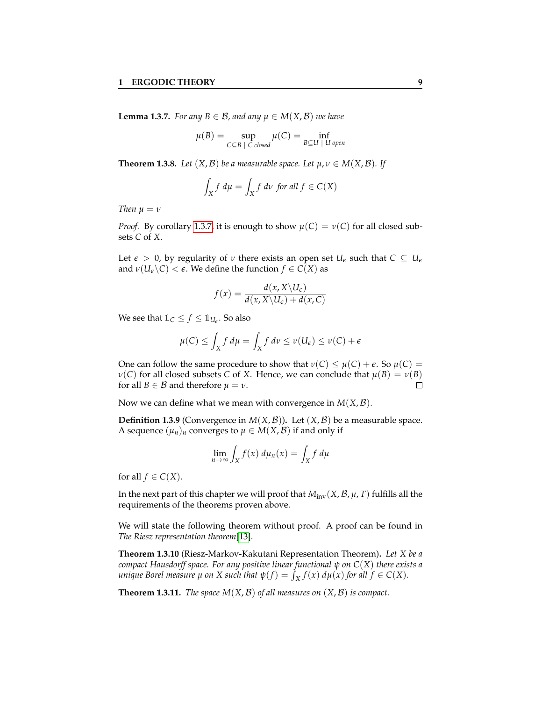<span id="page-12-0"></span>**Lemma 1.3.7.** *For any*  $B \in \mathcal{B}$ *, and any*  $\mu \in M(X, \mathcal{B})$  *we have* 

$$
\mu(B) = \sup_{C \subseteq B \; | \; C \; closed} \mu(C) = \inf_{B \subseteq U \; | \; U \; open}
$$

<span id="page-12-1"></span>**Theorem 1.3.8.** *Let*  $(X, \mathcal{B})$  *be a measurable space. Let*  $\mu, \nu \in M(X, \mathcal{B})$ *. If* 

$$
\int_X f \, d\mu = \int_X f \, d\nu \text{ for all } f \in C(X)
$$

*Then*  $\mu = \nu$ 

*Proof.* By corollary [1.3.7,](#page-12-0) it is enough to show  $\mu(C) = \nu(C)$  for all closed subsets *C* of *X*.

Let  $\epsilon > 0$ , by regularity of *ν* there exists an open set  $U_{\epsilon}$  such that  $C \subseteq U_{\epsilon}$ and  $\nu(U_{\epsilon}\backslash C) < \epsilon$ . We define the function  $f \in C(X)$  as

$$
f(x) = \frac{d(x, X \setminus U_{\epsilon})}{d(x, X \setminus U_{\epsilon}) + d(x, C)}
$$

We see that  $1\!\!1_C \leq f \leq 1\!\!1_{U_e}$ . So also

$$
\mu(C) \le \int_X f \, d\mu = \int_X f \, d\nu \le \nu(U_\epsilon) \le \nu(C) + \epsilon
$$

One can follow the same procedure to show that  $ν(C) \le μ(C) + ε$ . So  $μ(C) =$ *ν*(*C*) for all closed subsets *C* of *X*. Hence, we can conclude that  $μ(B) = ν(B)$ for all *B*  $\in$  *B* and therefore  $\mu = \nu$ .  $\Box$ 

Now we can define what we mean with convergence in *M*(*X*, B).

**Definition 1.3.9** (Convergence in  $M(X, \mathcal{B})$ ). Let  $(X, \mathcal{B})$  be a measurable space. A sequence  $(\mu_n)_n$  converges to  $\mu \in M(X, \mathcal{B})$  if and only if

$$
\lim_{n \to \infty} \int_X f(x) \, d\mu_n(x) = \int_X f \, d\mu
$$

for all  $f \in C(X)$ .

In the next part of this chapter we will proof that  $M_{\text{inv}}(X, \mathcal{B}, \mu, T)$  fulfills all the requirements of the theorems proven above.

We will state the following theorem without proof. A proof can be found in *The Riesz representation theorem*[\[13\]](#page-52-4).

<span id="page-12-2"></span>**Theorem 1.3.10** (Riesz-Markov-Kakutani Representation Theorem)**.** *Let X be a compact Hausdorff space. For any positive linear functional ψ on C*(*X*) *there exists a unique Borel measure*  $\mu$  *on*  $X$  *such that*  $\psi(f) = \int_X f(x) d\mu(x)$  *for all*  $f \in C(X)$ *.* 

**Theorem 1.3.11.** *The space*  $M(X, \mathcal{B})$  *of all measures on*  $(X, \mathcal{B})$  *is compact.*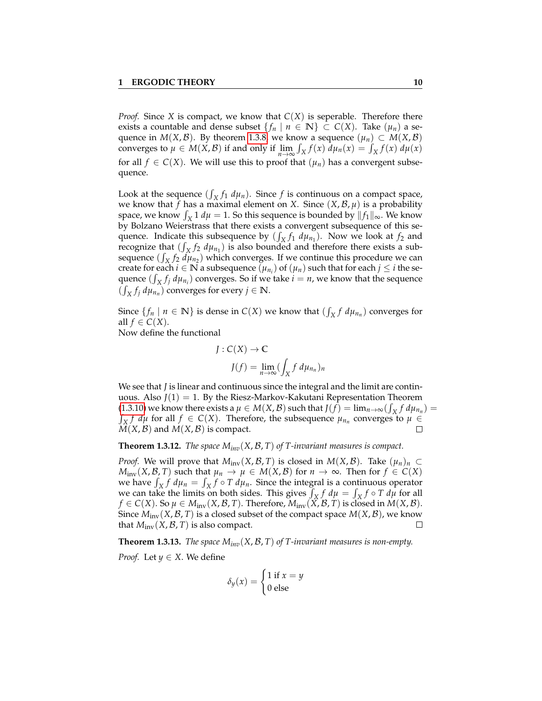*Proof.* Since *X* is compact, we know that  $C(X)$  is seperable. Therefore there exists a countable and dense subset  $\{f_n \mid n \in \mathbb{N}\}\subset C(X)$ . Take  $(\mu_n)$  a sequence in *M*(*X*, *B*). By theorem [1.3.8,](#page-12-1) we know a sequence  $(\mu_n) \subset M(X,\mathcal{B})$ converges to  $\mu \in M(X, \mathcal{B})$  if and only if  $\lim_{n \to \infty} \int_X f(x) d\mu_n(x) = \int_X f(x) d\mu(x)$ for all  $f \in C(X)$ . We will use this to proof that  $(\mu_n)$  has a convergent subsequence.

Look at the sequence  $(\int_X f_1 d\mu_n)$ . Since *f* is continuous on a compact space, we know that *f* has a maximal element on *X*. Since  $(X, \mathcal{B}, \mu)$  is a probability space, we know  $\int_X 1 d\mu = 1$ . So this sequence is bounded by  $||f_1||_{\infty}$ . We know by Bolzano Weierstrass that there exists a convergent subsequence of this sequence. Indicate this subsequence by  $(\int_X f_1 d\mu_{n_1})$ . Now we look at  $f_2$  and recognize that  $(\int_X f_2 \, d\mu_{n_1})$  is also bounded and therefore there exists a subsequence  $(\int_X f_2 \, d\mu_{n_2})$  which converges. If we continue this procedure we can create for each  $i \in \mathbb{N}$  a subsequence  $(\mu_{n_i})$  of  $(\mu_n)$  such that for each  $j \leq i$  the sequence  $(\int_X f_j \, d\mu_{n_i})$  converges. So if we take  $i = n$ , we know that the sequence  $(\int_X f_j \, d\mu_{n_n})$  converges for every  $j \in \mathbb{N}$ .

Since  $\{f_n \mid n \in \mathbb{N}\}$  is dense in  $C(X)$  we know that  $(\int_X f \, d\mu_{n})$  converges for all  $f \in C(X)$ .

Now define the functional

$$
J: C(X) \to \mathbb{C}
$$

$$
J(f) = \lim_{n \to \infty} (\int_X f \, d\mu_{n_n})_n
$$

We see that *J* is linear and continuous since the integral and the limit are continuous. Also  $J(1) = 1$ . By the Riesz-Markov-Kakutani Representation Theorem [\(1.3.10\)](#page-12-2) we know there exists a  $\mu \in M(X, \mathcal{B})$  such that  $J(f) = \lim_{n \to \infty} (\int_X f d\mu_{n_n}) =$ <br> $\int_X f d\mu$  for all  $f \in C(X)$ . Therefore, the subsequence  $\mu_{n_n}$  converges to  $\mu \in$  $\hat{X}$ ,  $f$  *d* $\mu$  for all  $f \in C(X)$ . Therefore, the subsequence  $\mu_{n_n}$  converges to  $\mu \in C(X)$ .  $\Box$  $M(X, \mathcal{B})$  and  $M(X, \mathcal{B})$  is compact.

**Theorem 1.3.12.** *The space*  $M_{inv}(X, \mathcal{B}, T)$  *of T-invariant measures is compact.* 

*Proof.* We will prove that  $M_{inv}(X, \mathcal{B}, T)$  is closed in  $M(X, \mathcal{B})$ . Take  $(\mu_n)_n \subset$ *M*<sub>inv</sub>(*X*, *B*, *T*) such that  $\mu_n \to \mu \in M(X, \mathcal{B})$  for  $n \to \infty$ . Then for  $f \in C(X)$ we have  $\int_X f \, d\mu_n = \int_X f \circ T \, d\mu_n$ . Since the integral is a continuous operator we can take the limits on both sides. This gives  $\int_X f \, d\mu = \int_X f \circ T \, d\mu$  for all *f* ∈ *C*(*X*). So  $\mu$  ∈ *M*<sub>inv</sub>(*X*, *B*, *T*). Therefore, *M*<sub>inv</sub>(*X*, *B*, *T*) is closed in *M*(*X*, *B*). Since  $M_{\text{inv}}(X, \mathcal{B}, T)$  is a closed subset of the compact space  $M(X, \mathcal{B})$ , we know that  $M_{\text{inv}}(X, \mathcal{B}, T)$  is also compact.  $\Box$ 

**Theorem 1.3.13.** *The space*  $M_{inv}(X, \mathcal{B}, T)$  *of T-invariant measures is non-empty. Proof.* Let  $y \in X$ . We define

$$
\delta_y(x) = \begin{cases} 1 \text{ if } x = y \\ 0 \text{ else} \end{cases}
$$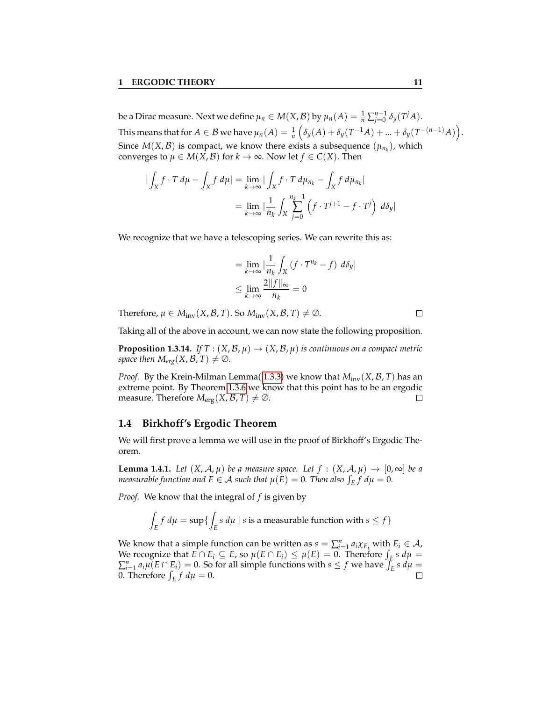be a Dirac measure. Next we define  $\mu_n \in M(X,\mathcal{B})$  by  $\mu_n(A) = \frac{1}{n} \sum_{j=0}^{n-1} \delta_y(T^j A)$ . This means that for  $A \in \mathcal{B}$  we have  $\mu_n(A) = \frac{1}{n} \left( \delta_y(A) + \delta_y(T^{-1}A) + ... + \delta_y(T^{-(n-1)}A) \right)$ . Since  $M(X, \mathcal{B})$  is compact, we know there exists a subsequence  $(\mu_{n_k})$ , which converges to  $\mu \in M(X, \mathcal{B})$  for  $k \to \infty$ . Now let  $f \in C(X)$ . Then

$$
\begin{aligned} \left| \int_X f \cdot T \, d\mu - \int_X f \, d\mu \right| &= \lim_{k \to \infty} \left| \int_X f \cdot T \, d\mu_{n_k} - \int_X f \, d\mu_{n_k} \right| \\ &= \lim_{k \to \infty} \left| \frac{1}{n_k} \int_X \sum_{j=0}^{n_k - 1} \left( f \cdot T^{j+1} - f \cdot T^j \right) \, d\delta_y \right| \end{aligned}
$$

We recognize that we have a telescoping series. We can rewrite this as:

$$
= \lim_{k \to \infty} \left| \frac{1}{n_k} \int_X (f \cdot T^{n_k} - f) \, d\delta_y \right|
$$
  

$$
\leq \lim_{k \to \infty} \frac{2 \|f\|_{\infty}}{n_k} = 0
$$

Therefore,  $\mu \in M_{\text{inv}}(X, \mathcal{B}, T)$ . So  $M_{\text{inv}}(X, \mathcal{B}, T) \neq \emptyset$ .

Taking all of the above in account, we can now state the following proposition.

**Proposition 1.3.14.** *If*  $T : (X, \mathcal{B}, \mu) \to (X, \mathcal{B}, \mu)$  *is continuous on a compact metric space then*  $M_{erg}(X, \mathcal{B}, T) \neq \emptyset$ *.* 

*Proof.* By the Krein-Milman Lemma( [1.3.3\)](#page-10-1) we know that  $M_{inv}(X, \mathcal{B}, T)$  has an extreme point. By Theorem [1.3.6](#page-11-1) we know that this point has to be an ergodic measure. Therefore  $M_{\text{erg}}(X, \mathcal{B}, T) \neq \emptyset$ .  $\Box$ 

#### <span id="page-14-0"></span>**1.4 Birkhoff's Ergodic Theorem**

We will first prove a lemma we will use in the proof of Birkhoff's Ergodic Theorem.

<span id="page-14-1"></span>**Lemma 1.4.1.** Let  $(X, \mathcal{A}, \mu)$  be a measure space. Let  $f : (X, \mathcal{A}, \mu) \to [0, \infty]$  be a *measurable function and E*  $\in$  *A such that*  $\mu(E) = 0$ *. Then also*  $\int_E f d\mu = 0$ *.* 

*Proof.* We know that the integral of *f* is given by

$$
\int_E f \, d\mu = \sup \{ \int_E s \, d\mu \mid s \text{ is a measurable function with } s \le f \}
$$

We know that a simple function can be written as  $s = \sum_{i=1}^{n} a_i \chi_{E_i}$  with  $E_i \in \mathcal{A}$ , We recognize that  $E \cap E_i \subseteq E$ , so  $\mu(E \cap E_i) \leq \mu(E) = 0$ . Therefore  $\int_E s \, d\mu =$  $\sum_{i=1}^{n} a_i \mu(E \cap E_i) = 0$ . So for all simple functions with  $s \leq f$  we have  $\int_{E} s d\mu =$ 0. Therefore  $\int_E f d\mu = 0$ .  $\Box$ 

 $\Box$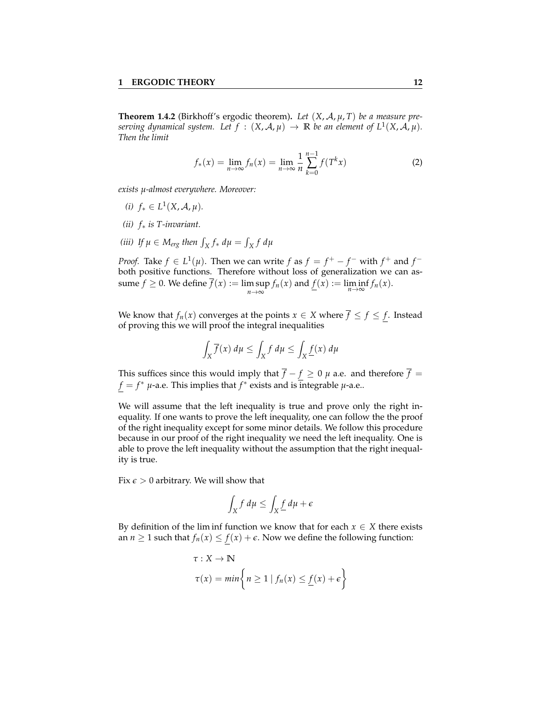**Theorem 1.4.2** (Birkhoff's ergodic theorem)**.** *Let* (*X*, A, *µ*, *T*) *be a measure preserving dynamical system.* Let  $f : (X, \mathcal{A}, \mu) \to \mathbb{R}$  be an element of  $L^1(X, \mathcal{A}, \mu)$ . *Then the limit*

$$
f_*(x) = \lim_{n \to \infty} f_n(x) = \lim_{n \to \infty} \frac{1}{n} \sum_{k=0}^{n-1} f(T^k x)
$$
 (2)

*exists µ-almost everywhere. Moreover:*

- *(i)*  $f_* \in L^1(X, \mathcal{A}, \mu)$ *.*
- *(ii) f*∗ *is T-invariant.*
- (*iii*) If  $\mu \in M_{erg}$  then  $\int_X f_* d\mu = \int_X f d\mu$

*Proof.* Take  $f \in L^1(\mu)$ . Then we can write  $f$  as  $f = f^+ - f^-$  with  $f^+$  and  $f^$ both positive functions. Therefore without loss of generalization we can assume  $f \ge 0$ . We define  $f(x) := \limsup_{n \to \infty} f_n(x)$  and  $\underline{f}(x) := \liminf_{n \to \infty} f_n(x)$ .

We know that  $f_n(x)$  converges at the points  $x \in X$  where  $\overline{f} \le f \le f$ . Instead of proving this we will proof the integral inequalities

$$
\int_X \overline{f}(x) \, d\mu \le \int_X f \, d\mu \le \int_X \underline{f}(x) \, d\mu
$$

This suffices since this would imply that  $\overline{f} - f \ge 0$   $\mu$  a.e. and therefore  $\overline{f} =$  $f = f^*$  *µ*-a.e. This implies that  $f^*$  exists and is integrable *µ*-a.e..

We will assume that the left inequality is true and prove only the right inequality. If one wants to prove the left inequality, one can follow the the proof of the right inequality except for some minor details. We follow this procedure because in our proof of the right inequality we need the left inequality. One is able to prove the left inequality without the assumption that the right inequality is true.

Fix  $\epsilon > 0$  arbitrary. We will show that

$$
\int_X f \, d\mu \le \int_X \underline{f} \, d\mu + \epsilon
$$

By definition of the lim inf function we know that for each  $x \in X$  there exists an *n*  $\geq$  1 such that  $f_n(x) \leq f(x) + \epsilon$ . Now we define the following function:

$$
\tau: X \to \mathbb{N}
$$
  

$$
\tau(x) = \min \left\{ n \ge 1 \mid f_n(x) \le \underline{f}(x) + \epsilon \right\}
$$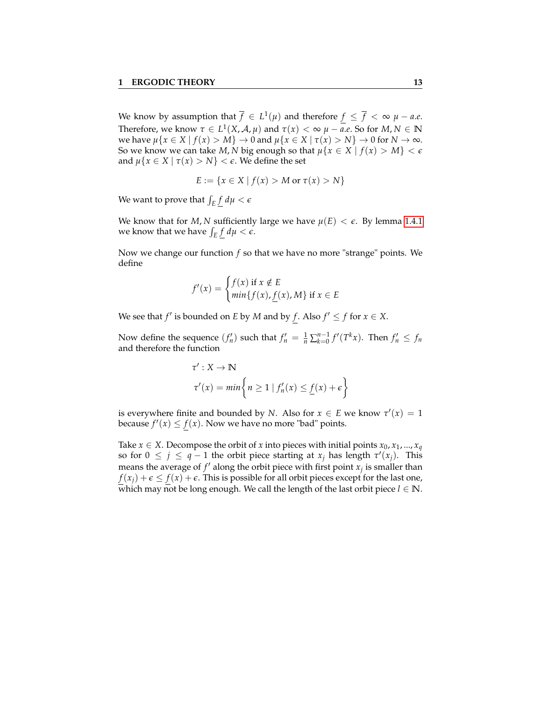We know by assumption that  $\overline{f} \in L^1(\mu)$  and therefore  $f \leq \overline{f} < \infty$   $\mu - a.e.$ Therefore, we know  $\tau \in L^1(X, \mathcal{A}, \mu)$  and  $\tau(x) < \infty$   $\mu - a.e$ . So for  $M, N \in \mathbb{N}$ we have  $\mu\{x \in X \mid f(x) > M\} \to 0$  and  $\mu\{x \in X \mid \tau(x) > N\} \to 0$  for  $N \to \infty$ . So we know we can take *M*, *N* big enough so that  $\mu\{x \in X \mid f(x) > M\} < \epsilon$ and  $\mu\{x \in X \mid \tau(x) > N\} < \epsilon$ . We define the set

$$
E := \{ x \in X \mid f(x) > M \text{ or } \tau(x) > N \}
$$

We want to prove that  $\int_E \underline{f} \ d\mu < \epsilon$ 

We know that for *M*, *N* sufficiently large we have  $\mu(E) < \epsilon$ . By lemma [1.4.1](#page-14-1) we know that we have  $\int_E \underline{f} \, d\mu < \epsilon$ .

Now we change our function *f* so that we have no more "strange" points. We define

$$
f'(x) = \begin{cases} f(x) & \text{if } x \notin E \\ \min\{f(x), f(x), M\} & \text{if } x \in E \end{cases}
$$

We see that *f'* is bounded on *E* by *M* and by *f*. Also  $f' \le f$  for  $x \in X$ .

Now define the sequence  $(f'_n)$  such that  $f'_n = \frac{1}{n} \sum_{k=0}^{n-1} f'(T^k x)$ . Then  $f'_n \le f_n$ and therefore the function

$$
\tau': X \to \mathbb{N}
$$
  
\n
$$
\tau'(x) = \min \left\{ n \ge 1 \mid f'_n(x) \le \underline{f}(x) + \epsilon \right\}
$$

is everywhere finite and bounded by *N*. Also for  $x \in E$  we know  $\tau'(x) = 1$ because  $f'(x) \le f(x)$ . Now we have no more "bad" points.

Take  $x \in X$ . Decompose the orbit of *x* into pieces with initial points  $x_0, x_1, ..., x_q$ so for  $0 \leq j \leq q-1$  the orbit piece starting at  $x_j$  has length  $\tau'(x_j)$ . This means the average of  $f'$  along the orbit piece with first point  $x_j$  is smaller than  $f(x_i) + \epsilon \leq f(x) + \epsilon$ . This is possible for all orbit pieces except for the last one, which may not be long enough. We call the length of the last orbit piece  $l \in \mathbb{N}$ .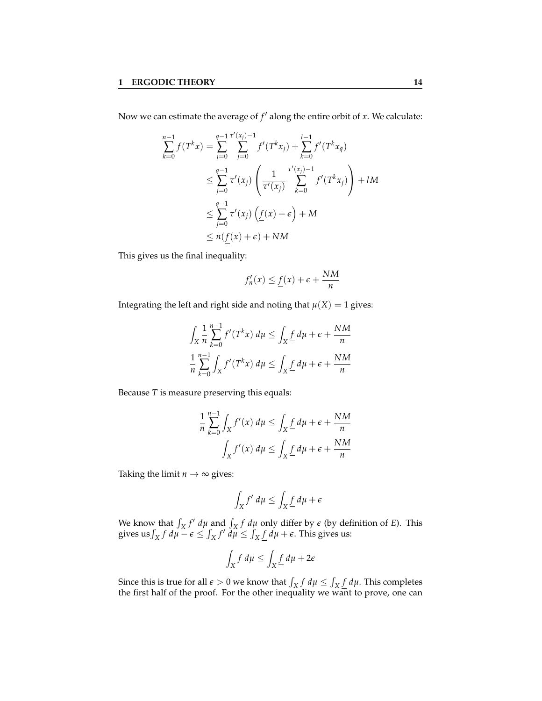Now we can estimate the average of  $f'$  along the entire orbit of *x*. We calculate:

$$
\sum_{k=0}^{n-1} f(T^k x) = \sum_{j=0}^{q-1} \sum_{j=0}^{\tau'(x_j)-1} f'(T^k x_j) + \sum_{k=0}^{l-1} f'(T^k x_q)
$$
  

$$
\leq \sum_{j=0}^{q-1} \tau'(x_j) \left( \frac{1}{\tau'(x_j)} \sum_{k=0}^{\tau'(x_j)-1} f'(T^k x_j) \right) + lM
$$
  

$$
\leq \sum_{j=0}^{q-1} \tau'(x_j) \left( \underline{f}(x) + \epsilon \right) + M
$$
  

$$
\leq n(f(x) + \epsilon) + NM
$$

This gives us the final inequality:

$$
f'_n(x) \le \underline{f}(x) + \epsilon + \frac{NM}{n}
$$

Integrating the left and right side and noting that  $\mu(X) = 1$  gives:

$$
\int_X \frac{1}{n} \sum_{k=0}^{n-1} f'(T^k x) d\mu \le \int_X \frac{f}{\mu} d\mu + \epsilon + \frac{NM}{n}
$$

$$
\frac{1}{n} \sum_{k=0}^{n-1} \int_X f'(T^k x) d\mu \le \int_X \frac{f}{\mu} d\mu + \epsilon + \frac{NM}{n}
$$

Because *T* is measure preserving this equals:

$$
\frac{1}{n} \sum_{k=0}^{n-1} \int_X f'(x) \, d\mu \le \int_X \underline{f} \, d\mu + \epsilon + \frac{NM}{n}
$$
\n
$$
\int_X f'(x) \, d\mu \le \int_X \underline{f} \, d\mu + \epsilon + \frac{NM}{n}
$$

Taking the limit  $n \to \infty$  gives:

$$
\int_X f' d\mu \le \int_X \underline{f} d\mu + \epsilon
$$

We know that  $\int_X f' d\mu$  and  $\int_X f d\mu$  only differ by  $\epsilon$  (by definition of *E*). This gives us  $\int_X f d\mu - \epsilon \leq \int_X f' d\mu \leq \int_X \underline{f} d\mu + \epsilon$ . This gives us:

$$
\int_X f \, d\mu \le \int_X \underline{f} \, d\mu + 2\epsilon
$$

Since this is true for all  $\epsilon > 0$  we know that  $\int_X f \, d\mu \le \int_X \underline{f} \, d\mu$ . This completes the first half of the proof. For the other inequality we want to prove, one can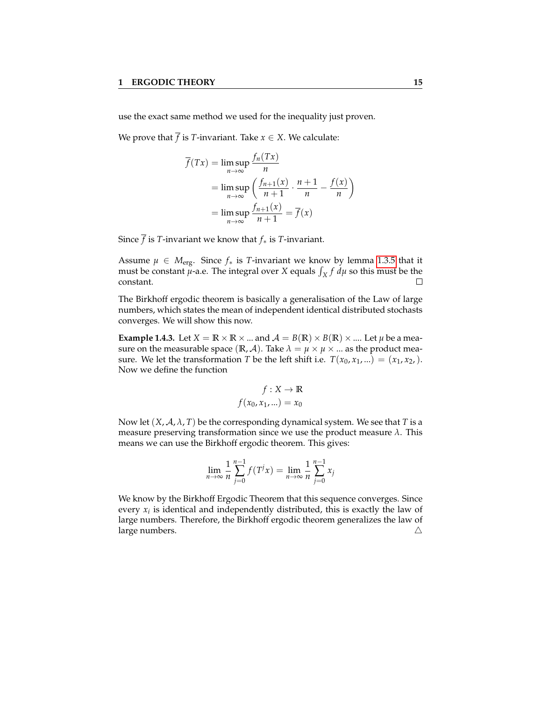use the exact same method we used for the inequality just proven.

We prove that  $\overline{f}$  is *T*-invariant. Take  $x \in X$ . We calculate:

$$
\overline{f}(Tx) = \limsup_{n \to \infty} \frac{f_n(Tx)}{n}
$$
  
= 
$$
\limsup_{n \to \infty} \left( \frac{f_{n+1}(x)}{n+1} \cdot \frac{n+1}{n} - \frac{f(x)}{n} \right)
$$
  
= 
$$
\limsup_{n \to \infty} \frac{f_{n+1}(x)}{n+1} = \overline{f}(x)
$$

Since  $\overline{f}$  is *T*-invariant we know that  $f_*$  is *T*-invariant.

Assume  $\mu \in M_{\text{erg}}$ . Since  $f_*$  is *T*-invariant we know by lemma [1.3.5](#page-11-0) that it must be constant  $\mu$ -a.e. The integral over *X* equals  $\int_X f \, d\mu$  so this must be the constant.  $\Box$ 

The Birkhoff ergodic theorem is basically a generalisation of the Law of large numbers, which states the mean of independent identical distributed stochasts converges. We will show this now.

**Example 1.4.3.** Let  $X = \mathbb{R} \times \mathbb{R} \times ...$  and  $\mathcal{A} = B(\mathbb{R}) \times B(\mathbb{R}) \times ...$  Let  $\mu$  be a measure on the measurable space ( $\mathbb{R}, \mathcal{A}$ ). Take  $\lambda = \mu \times \mu \times ...$  as the product measure. We let the transformation *T* be the left shift i.e.  $T(x_0, x_1, ...) = (x_1, x_2, ...)$ . Now we define the function

$$
f: X \to \mathbb{R}
$$

$$
f(x_0, x_1, \ldots) = x_0
$$

Now let  $(X, \mathcal{A}, \lambda, T)$  be the corresponding dynamical system. We see that *T* is a measure preserving transformation since we use the product measure *λ*. This means we can use the Birkhoff ergodic theorem. This gives:

$$
\lim_{n \to \infty} \frac{1}{n} \sum_{j=0}^{n-1} f(T^j x) = \lim_{n \to \infty} \frac{1}{n} \sum_{j=0}^{n-1} x_j
$$

We know by the Birkhoff Ergodic Theorem that this sequence converges. Since every  $x_i$  is identical and independently distributed, this is exactly the law of large numbers. Therefore, the Birkhoff ergodic theorem generalizes the law of large numbers.  $\triangle$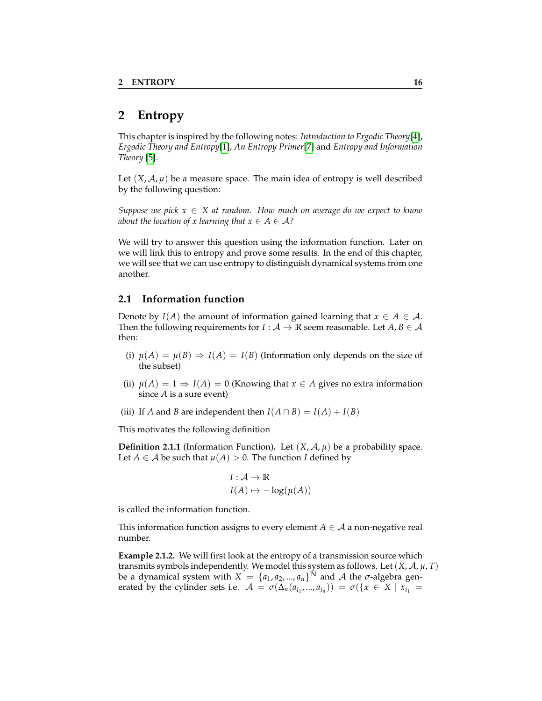## <span id="page-19-0"></span>**2 Entropy**

This chapter is inspired by the following notes: *Introduction to Ergodic Theory*[\[4\]](#page-52-0), *Ergodic Theory and Entropy*[\[1\]](#page-52-1), *An Entropy Primer*[\[7\]](#page-52-5) and *Entropy and Information Theory* [\[5\]](#page-52-6).

Let  $(X, \mathcal{A}, \mu)$  be a measure space. The main idea of entropy is well described by the following question:

*Suppose we pick*  $x \in X$  *at random. How much on average do we expect to know about the location of x learning that*  $x \in A \in \mathcal{A}$ ?

We will try to answer this question using the information function. Later on we will link this to entropy and prove some results. In the end of this chapter, we will see that we can use entropy to distinguish dynamical systems from one another.

#### <span id="page-19-1"></span>**2.1 Information function**

Denote by  $I(A)$  the amount of information gained learning that  $x \in A \in A$ . Then the following requirements for  $I : A \rightarrow \mathbb{R}$  seem reasonable. Let  $A, B \in \mathcal{A}$ then:

- (i)  $\mu(A) = \mu(B) \Rightarrow I(A) = I(B)$  (Information only depends on the size of the subset)
- (ii)  $\mu(A) = 1 \Rightarrow I(A) = 0$  (Knowing that  $x \in A$  gives no extra information since *A* is a sure event)
- (iii) If *A* and *B* are independent then  $I(A \cap B) = I(A) + I(B)$

This motivates the following definition

**Definition 2.1.1** (Information Function). Let  $(X, \mathcal{A}, \mu)$  be a probability space. Let *A*  $\in$  *A* be such that  $\mu$ (*A*) > 0. The function *I* defined by

$$
I: \mathcal{A} \to \mathbb{R}
$$

$$
I(A) \mapsto -\log(\mu(A))
$$

is called the information function.

This information function assigns to every element  $A \in \mathcal{A}$  a non-negative real number.

**Example 2.1.2.** We will first look at the entropy of a transmission source which transmits symbols independently. We model this system as follows. Let (*X*, A, *µ*, *T*) be a dynamical system with  $X = \{a_1, a_2, ..., a_n\}^N$  and A the  $\sigma$ -algebra generated by the cylinder sets i.e.  $A = \sigma(\Delta_n(a_{i_1},...,a_{i_n})) = \sigma(\lbrace x \in X \mid x_{i_1} =$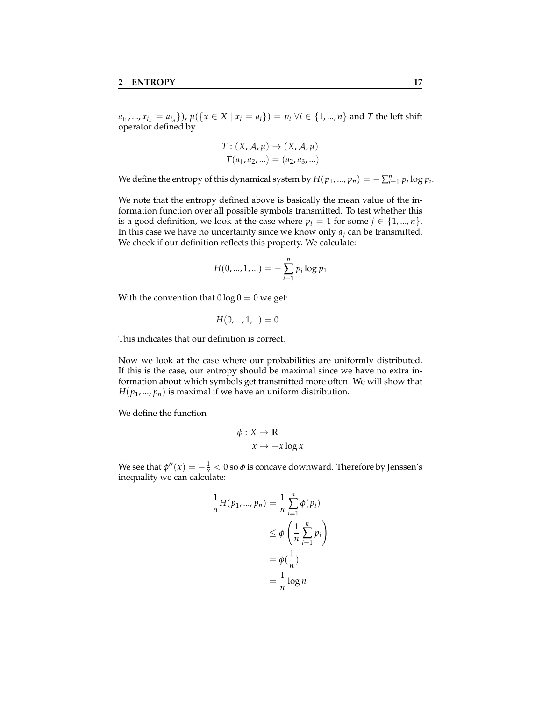$a_{i_1},...,x_{i_n} = a_{i_n}$ }),  $\mu({x \in X | x_i = a_i}) = p_i \forall i \in {1,...,n}$  and T the left shift operator defined by

$$
T: (X, \mathcal{A}, \mu) \to (X, \mathcal{A}, \mu)
$$

$$
T(a_1, a_2, \ldots) = (a_2, a_3, \ldots)
$$

We define the entropy of this dynamical system by  $H(p_1, ..., p_n) = -\sum_{i=1}^n p_i \log p_i$ .

We note that the entropy defined above is basically the mean value of the information function over all possible symbols transmitted. To test whether this is a good definition, we look at the case where  $p_i = 1$  for some  $j \in \{1, ..., n\}$ . In this case we have no uncertainty since we know only *a<sup>j</sup>* can be transmitted. We check if our definition reflects this property. We calculate:

$$
H(0,...,1,...) = -\sum_{i=1}^{n} p_i \log p_1
$$

With the convention that  $0 \log 0 = 0$  we get:

$$
H(0,...,1,..)=0
$$

This indicates that our definition is correct.

Now we look at the case where our probabilities are uniformly distributed. If this is the case, our entropy should be maximal since we have no extra information about which symbols get transmitted more often. We will show that  $H(p_1, ..., p_n)$  is maximal if we have an uniform distribution.

We define the function

$$
\phi: X \to \mathbb{R}
$$

$$
x \mapsto -x \log x
$$

We see that  $\phi''(x) = -\frac{1}{x} < 0$  so  $\phi$  is concave downward. Therefore by Jenssen's inequality we can calculate:

$$
\frac{1}{n}H(p_1, ..., p_n) = \frac{1}{n}\sum_{i=1}^n \phi(p_i)
$$

$$
\leq \phi\left(\frac{1}{n}\sum_{i=1}^n p_i\right)
$$

$$
= \phi\left(\frac{1}{n}\right)
$$

$$
= \frac{1}{n}\log n
$$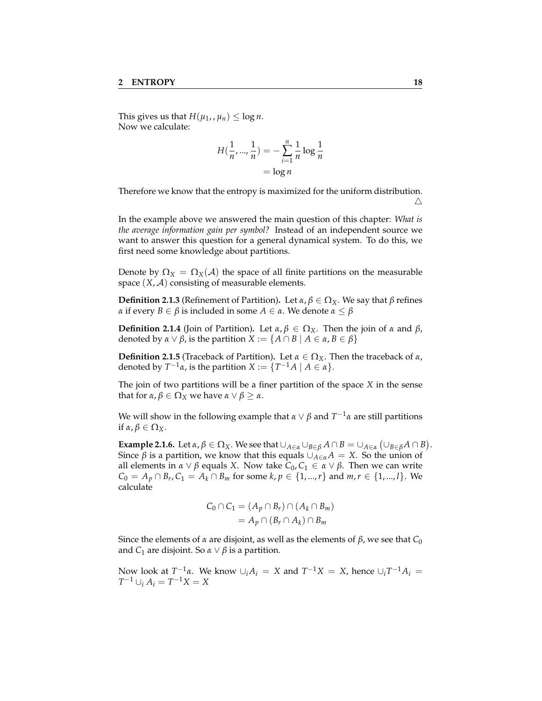This gives us that  $H(\mu_1, \mu_n) \leq \log n$ . Now we calculate:

$$
H(\frac{1}{n}, ..., \frac{1}{n}) = -\sum_{i=1}^{n} \frac{1}{n} \log \frac{1}{n}
$$

$$
= \log n
$$

Therefore we know that the entropy is maximized for the uniform distribution.  $\wedge$ 

In the example above we answered the main question of this chapter: *What is the average information gain per symbol?* Instead of an independent source we want to answer this question for a general dynamical system. To do this, we first need some knowledge about partitions.

Denote by  $\Omega_X = \Omega_X(\mathcal{A})$  the space of all finite partitions on the measurable space  $(X, \mathcal{A})$  consisting of measurable elements.

**Definition 2.1.3** (Refinement of Partition). Let *α*, *β* ∈  $Ω$ *X*. We say that *β* refines *α* if every *B* ∈ *β* is included in some *A* ∈ *α*. We denote  $α ≤ β$ 

<span id="page-21-0"></span>**Definition 2.1.4** (Join of Partition). Let  $α, β ∈ Ω<sub>X</sub>$ . Then the join of *α* and *β*, denoted by  $\alpha \vee \beta$ , is the partition  $X := \{A \cap B \mid A \in \alpha, B \in \beta\}$ 

**Definition 2.1.5** (Traceback of Partition). Let  $\alpha \in \Omega_X$ . Then the traceback of  $\alpha$ , denoted by  $T^{-1}\alpha$ , is the partition  $X := \{T^{-1}A \mid A \in \alpha\}.$ 

The join of two partitions will be a finer partition of the space *X* in the sense that for *α*, *β* ∈  $Ω$ <sub>*X*</sub> we have *α* ∨ *β*  $≥$  *α*.

We will show in the following example that  $\alpha \vee \beta$  and  $T^{-1}\alpha$  are still partitions if  $\alpha, \beta \in \Omega_X$ .

**Example 2.1.6.** Let  $\alpha, \beta \in \Omega_X$ . We see that  $\cup_{A \in \alpha} \cup_{B \in \beta} A \cap B = \cup_{A \in \alpha} (\cup_{B \in \beta} A \cap B)$ . Since *β* is a partition, we know that this equals  $\bigcup_{A \in \alpha} A = X$ . So the union of all elements in *α* ∨ *β* equals *X*. Now take *C*<sub>0</sub>, *C*<sub>1</sub> ∈ *α* ∨ *β*. Then we can write *C*<sub>0</sub> = *A*<sup>*p*</sup> ∩ *B*<sup>*r*</sup>, *C*<sub>1</sub> = *A*<sup>*k*</sup> ∩ *B*<sup>*m*</sup> for some *k*, *p* ∈ {1, ..., *r*} and *m*, *r* ∈ {1, ..., *l*}. We calculate

$$
C_0 \cap C_1 = (A_p \cap B_r) \cap (A_k \cap B_m)
$$
  
=  $A_p \cap (B_r \cap A_k) \cap B_m$ 

Since the elements of *α* are disjoint, as well as the elements of *β*, we see that  $C_0$ and  $C_1$  are disjoint. So  $\alpha \vee \beta$  is a partition.

Now look at  $T^{-1}α$ . We know  $∪<sub>i</sub>A<sub>i</sub> = X$  and  $T^{-1}X = X$ , hence  $∪<sub>i</sub>T^{-1}A<sub>i</sub> = X$  $T^{-1} \cup_i A_i = T^{-1}X = X$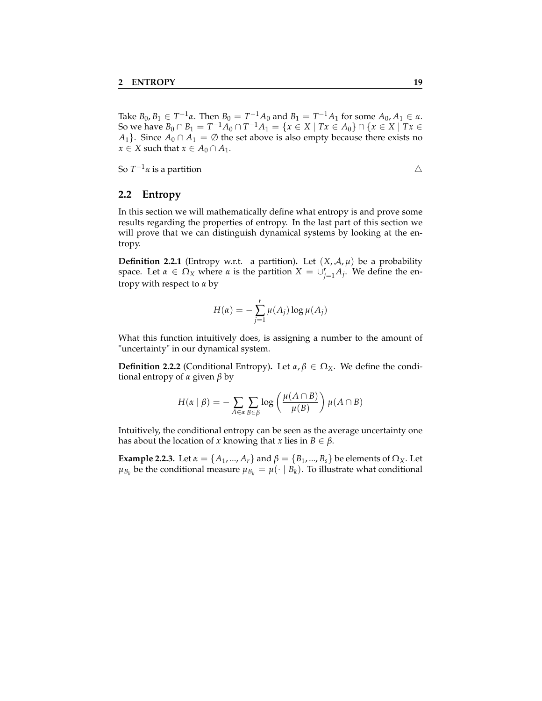Take  $B_0, B_1 \in T^{-1}\alpha$ . Then  $B_0 = T^{-1}A_0$  and  $B_1 = T^{-1}A_1$  for some  $A_0, A_1 \in \alpha$ . So we have  $B_0 \cap B_1 = T^{-1}A_0 \cap T^{-1}A_1 = \{x \in X \mid Tx \in A_0\} \cap \{x \in X \mid Tx \in A_0\}$ *A*<sub>1</sub>}. Since *A*<sup>0</sup> ∩ *A*<sub>1</sub> =  $\emptyset$  the set above is also empty because there exists no *x* ∈ *X* such that *x* ∈ *A*<sup>0</sup> ∩ *A*<sup>1</sup>.

So  $T^{-1}\alpha$  is a partition  $\triangle$ 

#### <span id="page-22-0"></span>**2.2 Entropy**

In this section we will mathematically define what entropy is and prove some results regarding the properties of entropy. In the last part of this section we will prove that we can distinguish dynamical systems by looking at the entropy.

**Definition 2.2.1** (Entropy w.r.t. a partition). Let  $(X, \mathcal{A}, \mu)$  be a probability space. Let  $\alpha \in \Omega_X$  where  $\alpha$  is the partition  $X = \bigcup_{j=1}^r A_j$ . We define the entropy with respect to *α* by

$$
H(\alpha) = -\sum_{j=1}^{r} \mu(A_j) \log \mu(A_j)
$$

What this function intuitively does, is assigning a number to the amount of "uncertainty" in our dynamical system.

**Definition 2.2.2** (Conditional Entropy). Let  $\alpha, \beta \in \Omega_X$ . We define the conditional entropy of *α* given *β* by

$$
H(\alpha \mid \beta) = -\sum_{A \in \alpha} \sum_{B \in \beta} \log \left( \frac{\mu(A \cap B)}{\mu(B)} \right) \mu(A \cap B)
$$

Intuitively, the conditional entropy can be seen as the average uncertainty one has about the location of *x* knowing that *x* lies in  $B \in \beta$ .

**Example 2.2.3.** Let  $\alpha = \{A_1, ..., A_r\}$  and  $\beta = \{B_1, ..., B_s\}$  be elements of  $\Omega_X$ . Let  $\mu_{B_k}$  be the conditional measure  $\mu_{B_k} = \mu(\cdot \mid B_k)$ . To illustrate what conditional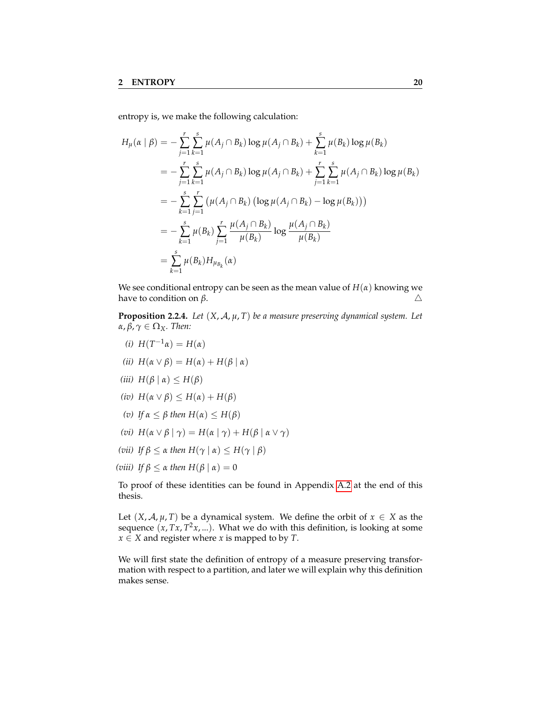entropy is, we make the following calculation:

$$
H_{\mu}(\alpha \mid \beta) = -\sum_{j=1}^{r} \sum_{k=1}^{s} \mu(A_{j} \cap B_{k}) \log \mu(A_{j} \cap B_{k}) + \sum_{k=1}^{s} \mu(B_{k}) \log \mu(B_{k})
$$
  
\n
$$
= -\sum_{j=1}^{r} \sum_{k=1}^{s} \mu(A_{j} \cap B_{k}) \log \mu(A_{j} \cap B_{k}) + \sum_{j=1}^{r} \sum_{k=1}^{s} \mu(A_{j} \cap B_{k}) \log \mu(B_{k})
$$
  
\n
$$
= -\sum_{k=1}^{s} \sum_{j=1}^{r} (\mu(A_{j} \cap B_{k}) (\log \mu(A_{j} \cap B_{k}) - \log \mu(B_{k})))
$$
  
\n
$$
= -\sum_{k=1}^{s} \mu(B_{k}) \sum_{j=1}^{r} \frac{\mu(A_{j} \cap B_{k})}{\mu(B_{k})} \log \frac{\mu(A_{j} \cap B_{k})}{\mu(B_{k})}
$$
  
\n
$$
= \sum_{k=1}^{s} \mu(B_{k}) H_{\mu_{B_{k}}}(\alpha)
$$

We see conditional entropy can be seen as the mean value of  $H(\alpha)$  knowing we have to condition on *β*.  $\triangle$ 

**Proposition 2.2.4.** *Let* (*X*, A, *µ*, *T*) *be a measure preserving dynamical system. Let α*, *β*, *γ* ∈ Ω*X. Then:*

- *(i)*  $H(T^{-1}α) = H(α)$
- *(ii)*  $H(α ∨ β) = H(α) + H(β | α)$
- *(iii)*  $H(β | α) ≤ H(β)$
- *(iv)*  $H(α ∨ β) ≤ H(α) + H(β)$
- *(v) If*  $\alpha$  ≤ *β then*  $H(\alpha)$  ≤  $H(\beta)$
- *(vi)*  $H(\alpha \vee \beta \mid \gamma) = H(\alpha \mid \gamma) + H(\beta \mid \alpha \vee \gamma)$
- *(vii) If*  $\beta$  ≤ *α then*  $H(\gamma | \alpha)$  ≤  $H(\gamma | \beta)$
- *(viii) If*  $\beta$  ≤ *α then*  $H(β | α) = 0$

To proof of these identities can be found in Appendix [A.2](#page-47-0) at the end of this thesis.

Let  $(X, \mathcal{A}, \mu, T)$  be a dynamical system. We define the orbit of  $x \in X$  as the sequence (*x*, *Tx*, *T* <sup>2</sup>*x*, ...). What we do with this definition, is looking at some *x*  $\in$  *X* and register where *x* is mapped to by *T*.

We will first state the definition of entropy of a measure preserving transformation with respect to a partition, and later we will explain why this definition makes sense.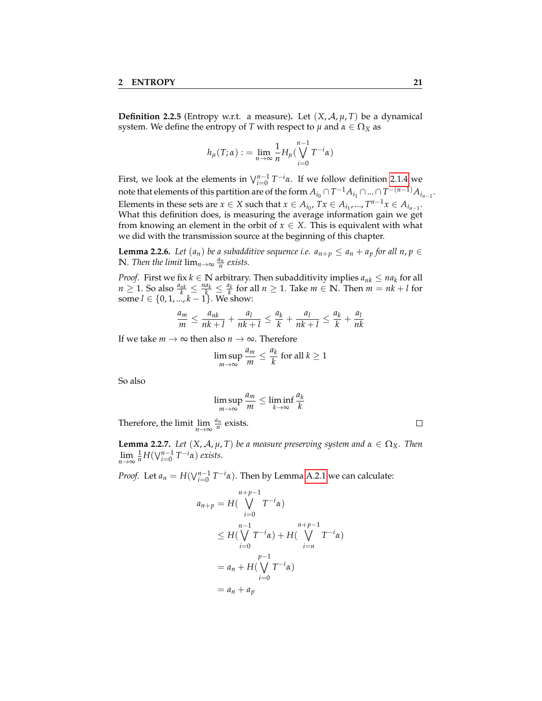**Definition 2.2.5** (Entropy w.r.t. a measure)**.** Let (*X*, A, *µ*, *T*) be a dynamical system. We define the entropy of *T* with respect to  $\mu$  and  $\alpha \in \Omega_X$  as

$$
h_{\mu}(T;\alpha) := \lim_{n \to \infty} \frac{1}{n} H_{\mu}(\bigvee_{i=0}^{n-1} T^{-i} \alpha)
$$

First, we look at the elements in  $\bigvee_{i=0}^{n-1} T^{-i} \alpha$ . If we follow definition [2.1.4](#page-21-0) we note that elements of this partition are of the form  $A_{i_0}\cap T^{-1}A_{i_1}\cap...\cap T^{-(n-1)}A_{i_{n-1}}.$ Elements in these sets are  $x \in X$  such that  $x \in A_{i_0}, Tx \in A_{i_1}, ..., T^{n-1}x \in A_{i_{n-1}}$ . What this definition does, is measuring the average information gain we get from knowing an element in the orbit of  $x \in X$ . This is equivalent with what we did with the transmission source at the beginning of this chapter.

<span id="page-24-0"></span>**Lemma 2.2.6.** *Let*  $(a_n)$  *be a subadditive sequence i.e.*  $a_{n+p} \le a_n + a_p$  *for all n, p*  $\in$ **N***. Then the limit*  $\lim_{n\to\infty} \frac{a_n}{n}$  exists.

*Proof.* First we fix  $k \in \mathbb{N}$  arbitrary. Then subadditivity implies  $a_{nk} \le na_k$  for all  $n \geq 1$ . So also  $\frac{a_{nk}}{k} \leq \frac{na_k}{k} \leq \frac{a_k}{k}$  for all  $n \geq 1$ . Take  $m \in \mathbb{N}$ . Then  $m = nk + l$  for some *l* ∈ {0, 1, ..., *k* − 1}. We show:

$$
\frac{a_m}{m} \le \frac{a_{nk}}{nk+l} + \frac{a_l}{nk+l} \le \frac{a_k}{k} + \frac{a_l}{nk+l} \le \frac{a_k}{k} + \frac{a_l}{nk}
$$

If we take  $m \to \infty$  then also  $n \to \infty$ . Therefore

$$
\limsup_{m \to \infty} \frac{a_m}{m} \le \frac{a_k}{k} \text{ for all } k \ge 1
$$

So also

$$
\limsup_{m \to \infty} \frac{a_m}{m} \le \liminf_{k \to \infty} \frac{a_k}{k}
$$

Therefore, the limit  $\lim_{n \to \infty} \frac{a_n}{n}$  exists.

**Lemma 2.2.7.** *Let*  $(X, \mathcal{A}, \mu, T)$  *be a measure preserving system and*  $\alpha \in \Omega_X$ *. Then*  $\lim_{n \to \infty} \frac{1}{n} H(\bigvee_{i=0}^{n-1} T^{-i} \alpha)$  *exists.* 

*Proof.* Let  $a_n = H(\bigvee_{i=0}^{n-1} T^{-i}a)$ . Then by Lemma [A.2.1](#page-47-1) we can calculate:

$$
a_{n+p} = H\left(\bigvee_{i=0}^{n+p-1} T^{-i} \alpha\right)
$$
  
\n
$$
\leq H\left(\bigvee_{i=0}^{n-1} T^{-i} \alpha\right) + H\left(\bigvee_{i=n}^{n+p-1} T^{-i} \alpha\right)
$$
  
\n
$$
= a_n + H\left(\bigvee_{i=0}^{p-1} T^{-i} \alpha\right)
$$
  
\n
$$
= a_n + a_p
$$

 $\Box$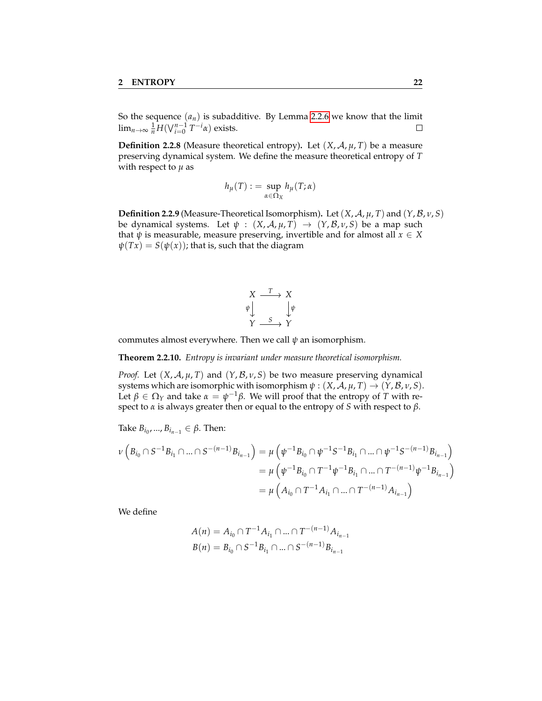So the sequence  $(a_n)$  is subadditive. By Lemma [2.2.6](#page-24-0) we know that the limit  $\lim_{n\to\infty} \frac{1}{n} H(\bigvee_{i=0}^{n-1} T^{-i}\alpha)$  exists.  $\Box$ 

**Definition 2.2.8** (Measure theoretical entropy). Let  $(X, \mathcal{A}, \mu, T)$  be a measure preserving dynamical system. We define the measure theoretical entropy of *T* with respect to  $\mu$  as

$$
h_{\mu}(T) := \sup_{\alpha \in \Omega_X} h_{\mu}(T; \alpha)
$$

**Definition 2.2.9** (Measure-Theoretical Isomorphism). Let  $(X, \mathcal{A}, \mu, T)$  and  $(Y, \mathcal{B}, \nu, S)$ be dynamical systems. Let  $\psi$  :  $(X, \mathcal{A}, \mu, T) \rightarrow (Y, \mathcal{B}, \nu, S)$  be a map such that  $\psi$  is measurable, measure preserving, invertible and for almost all  $x \in X$  $\psi(Tx) = S(\psi(x))$ ; that is, such that the diagram

$$
\begin{array}{ccc}\nX & \xrightarrow{T} & X \\
\psi & & \downarrow \psi \\
Y & \xrightarrow{S} & Y\n\end{array}
$$

commutes almost everywhere. Then we call *ψ* an isomorphism.

<span id="page-25-0"></span>**Theorem 2.2.10.** *Entropy is invariant under measure theoretical isomorphism.*

*Proof.* Let  $(X, \mathcal{A}, \mu, T)$  and  $(Y, \mathcal{B}, \nu, S)$  be two measure preserving dynamical systems which are isomorphic with isomorphism  $\psi$  :  $(X, \mathcal{A}, \mu, T) \rightarrow (Y, \mathcal{B}, \nu, S)$ . Let  $\beta \in \Omega_Y$  and take  $\alpha = \psi^{-1}\beta$ . We will proof that the entropy of *T* with respect to *α* is always greater then or equal to the entropy of *S* with respect to *β*.

Take  $B_{i_0},..., B_{i_{n-1}} \in \beta$ . Then:

$$
\nu\left(B_{i_0} \cap S^{-1}B_{i_1} \cap \dots \cap S^{-(n-1)}B_{i_{n-1}}\right) = \mu\left(\psi^{-1}B_{i_0} \cap \psi^{-1}S^{-1}B_{i_1} \cap \dots \cap \psi^{-1}S^{-(n-1)}B_{i_{n-1}}\right)
$$
  
= 
$$
\mu\left(\psi^{-1}B_{i_0} \cap T^{-1}\psi^{-1}B_{i_1} \cap \dots \cap T^{-(n-1)}\psi^{-1}B_{i_{n-1}}\right)
$$
  
= 
$$
\mu\left(A_{i_0} \cap T^{-1}A_{i_1} \cap \dots \cap T^{-(n-1)}A_{i_{n-1}}\right)
$$

We define

$$
A(n) = A_{i_0} \cap T^{-1} A_{i_1} \cap ... \cap T^{-(n-1)} A_{i_{n-1}}
$$
  

$$
B(n) = B_{i_0} \cap S^{-1} B_{i_1} \cap ... \cap S^{-(n-1)} B_{i_{n-1}}
$$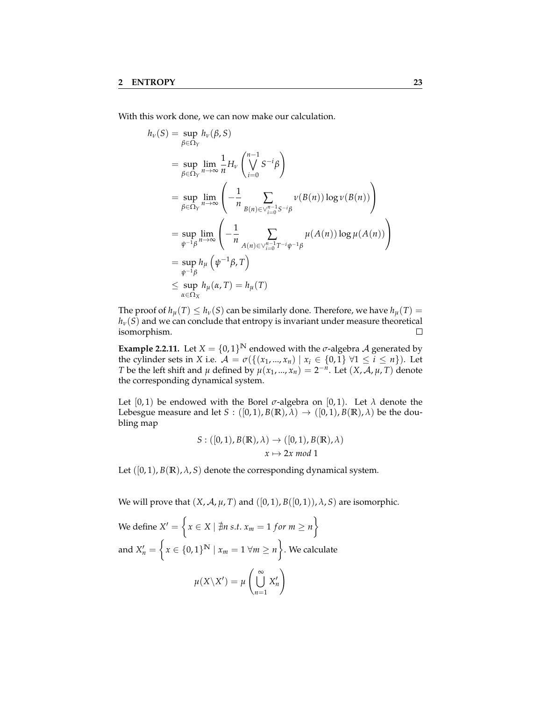With this work done, we can now make our calculation.

$$
h_{\nu}(S) = \sup_{\beta \in \Omega_Y} h_{\nu}(\beta, S)
$$
  
\n
$$
= \sup_{\beta \in \Omega_Y} \lim_{n \to \infty} \frac{1}{n} H_{\nu} \left( \bigvee_{i=0}^{n-1} S^{-i} \beta \right)
$$
  
\n
$$
= \sup_{\beta \in \Omega_Y} \lim_{n \to \infty} \left( -\frac{1}{n} \sum_{B(n) \in \vee_{i=0}^{n-1} S^{-i} \beta} \nu(B(n)) \log \nu(B(n)) \right)
$$
  
\n
$$
= \sup_{\psi^{-1} \beta} \lim_{n \to \infty} \left( -\frac{1}{n} \sum_{A(n) \in \vee_{i=0}^{n-1} T^{-i} \psi^{-1} \beta} \mu(A(n)) \log \mu(A(n)) \right)
$$
  
\n
$$
= \sup_{\psi^{-1} \beta} h_{\mu} \left( \psi^{-1} \beta, T \right)
$$
  
\n
$$
\leq \sup_{\alpha \in \Omega_X} h_{\mu}(\alpha, T) = h_{\mu}(T)
$$

The proof of  $h_\mu(T) \leq h_\nu(S)$  can be similarly done. Therefore, we have  $h_\mu(T) =$ *hv*(*S*) and we can conclude that entropy is invariant under measure theoretical isomorphism. isomorphism.

<span id="page-26-0"></span>**Example 2.2.11.** Let  $X = \{0, 1\}^{\mathbb{N}}$  endowed with the *σ*-algebra *A* generated by the cylinder sets in *X* i.e.  $\mathcal{A} = \sigma(\{(x_1, ..., x_n) | x_i \in \{0, 1\} \forall 1 \le i \le n\})$ . Let *T* be the left shift and *µ* defined by  $\mu(x_1, ..., x_n) = 2^{-n}$ . Let  $(X, \mathcal{A}, \mu, T)$  denote the corresponding dynamical system.

Let  $[0, 1)$  be endowed with the Borel  $\sigma$ -algebra on  $[0, 1)$ . Let  $\lambda$  denote the Lebesgue measure and let *S* :  $([0,1), B(\mathbb{R}), \lambda) \rightarrow ([0,1), B(\mathbb{R}), \lambda)$  be the doubling map

$$
S: ([0,1), B(\mathbb{R}), \lambda) \to ([0,1), B(\mathbb{R}), \lambda)
$$

$$
x \mapsto 2x \mod 1
$$

Let  $([0, 1), B(\mathbb{R}), \lambda, S)$  denote the corresponding dynamical system.

We will prove that  $(X, \mathcal{A}, \mu, T)$  and  $([0, 1), B([0, 1)), \lambda, S)$  are isomorphic.

We define 
$$
X' = \left\{ x \in X \mid \nexists n \text{ s.t. } x_m = 1 \text{ for } m \ge n \right\}
$$
  
\nand  $X'_n = \left\{ x \in \{0,1\}^N \mid x_m = 1 \forall m \ge n \right\}$ . We calculate  
\n
$$
\mu(X \setminus X') = \mu\left(\bigcup_{n=1}^{\infty} X'_n\right)
$$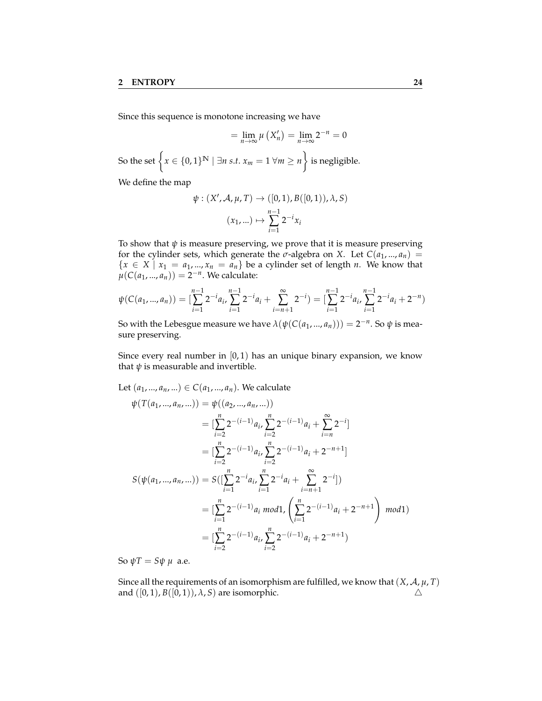Since this sequence is monotone increasing we have

$$
= \lim_{n \to \infty} \mu\left(X'_n\right) = \lim_{n \to \infty} 2^{-n} = 0
$$
  
So the set  $\left\{x \in \{0, 1\}^{\mathbb{N}} \mid \exists n \text{ s.t. } x_m = 1 \forall m \ge n\right\}$  is negligible.

We define the map

$$
\psi : (X', \mathcal{A}, \mu, T) \to ([0, 1), B([0, 1)), \lambda, S)
$$

$$
(x_1, \ldots) \mapsto \sum_{i=1}^{n-1} 2^{-i} x_i
$$

To show that  $\psi$  is measure preserving, we prove that it is measure preserving for the cylinder sets, which generate the  $\sigma$ -algebra on *X*. Let  $C(a_1, ..., a_n)$  =  ${x \in X | x_1 = a_1, ..., x_n = a_n}$  be a cylinder set of length *n*. We know that  $\mu(C(a_1, ..., a_n)) = 2^{-n}$ . We calculate:

$$
\psi(C(a_1,...,a_n)) = \left[\sum_{i=1}^{n-1} 2^{-i} a_i, \sum_{i=1}^{n-1} 2^{-i} a_i + \sum_{i=n+1}^{\infty} 2^{-i}\right) = \left[\sum_{i=1}^{n-1} 2^{-i} a_i, \sum_{i=1}^{n-1} 2^{-i} a_i + 2^{-n}\right)
$$

So with the Lebesgue measure we have  $\lambda(\psi(C(a_1, ..., a_n))) = 2^{-n}$ . So  $\psi$  is measure preserving.

Since every real number in  $[0, 1)$  has an unique binary expansion, we know that  $\psi$  is measurable and invertible.

Let 
$$
(a_1, ..., a_n, ...)
$$
  $\in C(a_1, ..., a_n)$ . We calculate  
\n
$$
\psi(T(a_1, ..., a_n, ...)) = \psi((a_2, ..., a_n, ...))
$$
\n
$$
= [\sum_{i=2}^n 2^{-(i-1)} a_i, \sum_{i=2}^n 2^{-(i-1)} a_i + \sum_{i=n}^\infty 2^{-i}]
$$
\n
$$
= [\sum_{i=2}^n 2^{-(i-1)} a_i, \sum_{i=2}^n 2^{-(i-1)} a_i + 2^{-n+1}]
$$
\n
$$
S(\psi(a_1, ..., a_n, ...)) = S([\sum_{i=1}^n 2^{-i} a_i, \sum_{i=1}^n 2^{-i} a_i + \sum_{i=n+1}^\infty 2^{-i}])
$$
\n
$$
= [\sum_{i=1}^n 2^{-(i-1)} a_i \mod 1, \left(\sum_{i=1}^n 2^{-(i-1)} a_i + 2^{-n+1}\right) \mod 1)
$$
\n
$$
= [\sum_{i=2}^n 2^{-(i-1)} a_i, \sum_{i=2}^n 2^{-(i-1)} a_i + 2^{-n+1})
$$

So  $ψT = Sψ$   $μ$  a.e.

Since all the requirements of an isomorphism are fulfilled, we know that  $(X, \mathcal{A}, \mu, T)$ and  $([0, 1), B([0, 1)), \lambda, S$  are isomorphic.  $\Delta$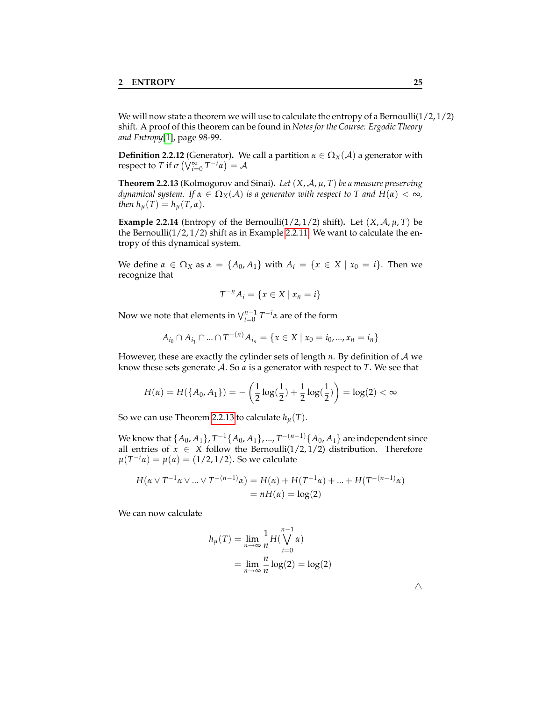We will now state a theorem we will use to calculate the entropy of a Bernoulli $(1/2, 1/2)$ shift. A proof of this theorem can be found in *Notes for the Course: Ergodic Theory and Entropy*[\[1\]](#page-52-1), page 98-99.

**Definition 2.2.12** (Generator). We call a partition  $\alpha \in \Omega_X(\mathcal{A})$  a generator with  $\mathsf{respect\ to\ }T\ \text{if\ }\sigma\left(\bigvee_{i=0}^{\infty}T^{-i}\alpha\right)=\mathcal{A}$ 

<span id="page-28-0"></span>**Theorem 2.2.13** (Kolmogorov and Sinai)**.** *Let* (*X*, A, *µ*, *T*) *be a measure preserving dynamical system.* If  $\alpha \in \Omega_X(\mathcal{A})$  *is a generator with respect to* T *and*  $H(\alpha) < \infty$ *, then*  $h_\mu(T) = h_\mu(T, \alpha)$ *.* 

**Example 2.2.14** (Entropy of the Bernoulli( $1/2$ ,  $1/2$ ) shift). Let  $(X, \mathcal{A}, \mu, T)$  be the Bernoulli(1/2, 1/2) shift as in Example [2.2.11.](#page-26-0) We want to calculate the entropy of this dynamical system.

We define  $\alpha \in \Omega_X$  as  $\alpha = \{A_0, A_1\}$  with  $A_i = \{x \in X \mid x_0 = i\}$ . Then we recognize that

$$
T^{-n}A_i = \{x \in X \mid x_n = i\}
$$

Now we note that elements in <sup>W</sup>*n*−<sup>1</sup> *i*=0 *T* <sup>−</sup>*iα* are of the form

$$
A_{i_0} \cap A_{i_1} \cap ... \cap T^{-(n)} A_{i_n} = \{x \in X \mid x_0 = i_0, ..., x_n = i_n\}
$$

However, these are exactly the cylinder sets of length *n*. By definition of A we know these sets generate A. So *α* is a generator with respect to *T*. We see that

$$
H(\alpha) = H(\lbrace A_0, A_1 \rbrace) = -\left(\frac{1}{2}\log(\frac{1}{2}) + \frac{1}{2}\log(\frac{1}{2})\right) = \log(2) < \infty
$$

So we can use Theorem [2.2.13](#page-28-0) to calculate  $h_{\mu}(T)$ .

We know that  $\{A_0, A_1\}$ ,  $T^{-1}\{A_0, A_1\}$ , ...,  $T^{-(n-1)}\{A_0, A_1\}$  are independent since all entries of  $x \in X$  follow the Bernoulli( $1/2$ ,  $1/2$ ) distribution. Therefore  $μ(T^{-i}α) = μ(α) = (1/2, 1/2)$ . So we calculate

$$
H(\alpha \vee T^{-1}\alpha \vee ... \vee T^{-(n-1)}\alpha) = H(\alpha) + H(T^{-1}\alpha) + ... + H(T^{-(n-1)}\alpha)
$$
  
=  $nH(\alpha) = \log(2)$ 

We can now calculate

$$
h_{\mu}(T) = \lim_{n \to \infty} \frac{1}{n} H\left(\bigvee_{i=0}^{n-1} \alpha\right)
$$

$$
= \lim_{n \to \infty} \frac{n}{n} \log(2) = \log(2)
$$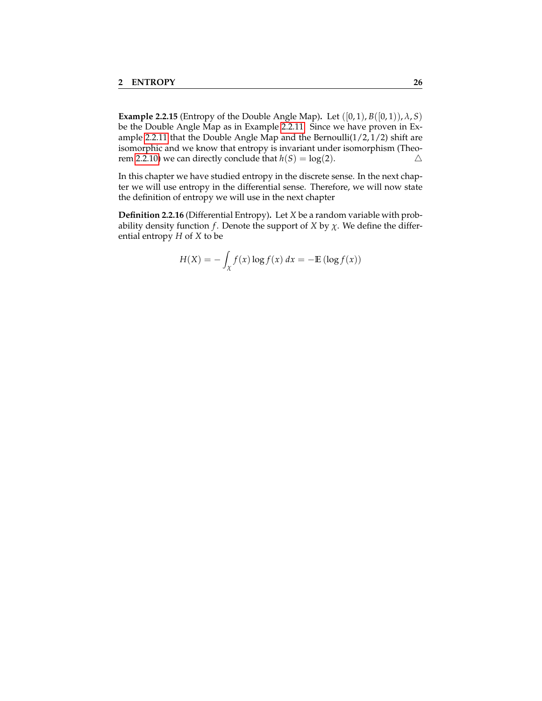**Example 2.2.15** (Entropy of the Double Angle Map). Let  $([0, 1), B([0, 1)), \lambda, S)$ be the Double Angle Map as in Example [2.2.11.](#page-26-0) Since we have proven in Ex-ample [2.2.11](#page-26-0) that the Double Angle Map and the Bernoulli $(1/2, 1/2)$  shift are isomorphic and we know that entropy is invariant under isomorphism (Theo-rem [2.2.10\)](#page-25-0) we can directly conclude that  $h(S) = log(2)$ .

In this chapter we have studied entropy in the discrete sense. In the next chapter we will use entropy in the differential sense. Therefore, we will now state the definition of entropy we will use in the next chapter

**Definition 2.2.16** (Differential Entropy)**.** Let *X* be a random variable with probability density function *f*. Denote the support of *X* by  $\chi$ . We define the differential entropy *H* of *X* to be

$$
H(X) = -\int_{\chi} f(x) \log f(x) dx = -\mathbb{E} (\log f(x))
$$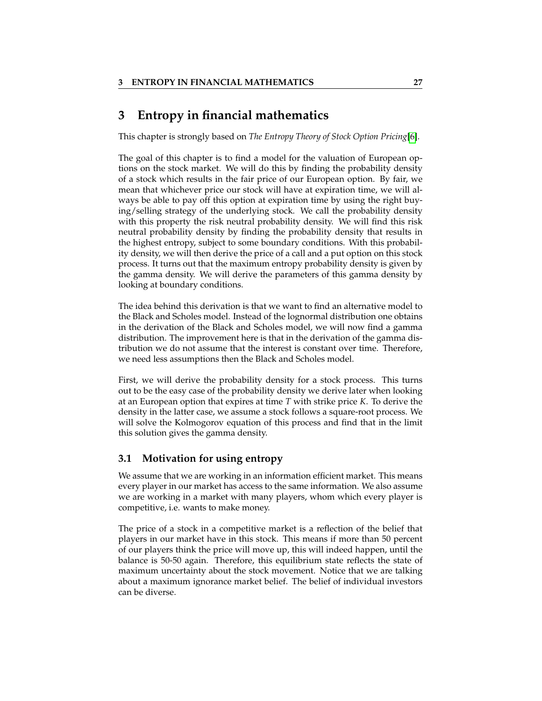# <span id="page-30-0"></span>**3 Entropy in financial mathematics**

This chapter is strongly based on *The Entropy Theory of Stock Option Pricing*[\[6\]](#page-52-7).

The goal of this chapter is to find a model for the valuation of European options on the stock market. We will do this by finding the probability density of a stock which results in the fair price of our European option. By fair, we mean that whichever price our stock will have at expiration time, we will always be able to pay off this option at expiration time by using the right buying/selling strategy of the underlying stock. We call the probability density with this property the risk neutral probability density. We will find this risk neutral probability density by finding the probability density that results in the highest entropy, subject to some boundary conditions. With this probability density, we will then derive the price of a call and a put option on this stock process. It turns out that the maximum entropy probability density is given by the gamma density. We will derive the parameters of this gamma density by looking at boundary conditions.

The idea behind this derivation is that we want to find an alternative model to the Black and Scholes model. Instead of the lognormal distribution one obtains in the derivation of the Black and Scholes model, we will now find a gamma distribution. The improvement here is that in the derivation of the gamma distribution we do not assume that the interest is constant over time. Therefore, we need less assumptions then the Black and Scholes model.

First, we will derive the probability density for a stock process. This turns out to be the easy case of the probability density we derive later when looking at an European option that expires at time *T* with strike price *K*. To derive the density in the latter case, we assume a stock follows a square-root process. We will solve the Kolmogorov equation of this process and find that in the limit this solution gives the gamma density.

#### <span id="page-30-1"></span>**3.1 Motivation for using entropy**

We assume that we are working in an information efficient market. This means every player in our market has access to the same information. We also assume we are working in a market with many players, whom which every player is competitive, i.e. wants to make money.

The price of a stock in a competitive market is a reflection of the belief that players in our market have in this stock. This means if more than 50 percent of our players think the price will move up, this will indeed happen, until the balance is 50-50 again. Therefore, this equilibrium state reflects the state of maximum uncertainty about the stock movement. Notice that we are talking about a maximum ignorance market belief. The belief of individual investors can be diverse.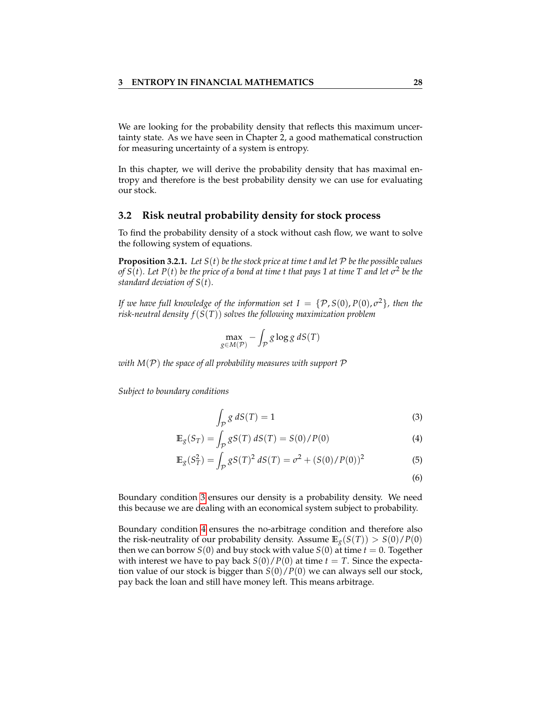We are looking for the probability density that reflects this maximum uncertainty state. As we have seen in Chapter 2, a good mathematical construction for measuring uncertainty of a system is entropy.

In this chapter, we will derive the probability density that has maximal entropy and therefore is the best probability density we can use for evaluating our stock.

#### <span id="page-31-0"></span>**3.2 Risk neutral probability density for stock process**

To find the probability density of a stock without cash flow, we want to solve the following system of equations.

<span id="page-31-4"></span>**Proposition 3.2.1.** Let  $S(t)$  be the stock price at time t and let  $P$  be the possible values *of S*(*t*). Let P(*t*) be the price of a bond at time t that pays 1 at time T and let  $\sigma^2$  be the *standard deviation of S*(*t*)*.*

*If we have full knowledge of the information set I* = {P, *S*(0), *P*(0), *σ* <sup>2</sup>}*, then the risk-neutral density f*(*S*(*T*)) *solves the following maximization problem*

$$
\max_{g \in M(\mathcal{P})} - \int_{\mathcal{P}} g \log g \, dS(T)
$$

*with M*(P) *the space of all probability measures with support* P

*Subject to boundary conditions*

$$
\int_{\mathcal{P}} g \, dS(T) = 1 \tag{3}
$$

$$
\mathbb{E}_{g}(S_T) = \int_{\mathcal{P}} gS(T) dS(T) = S(0)/P(0)
$$
\n(4)

$$
\mathbb{E}_g(S_T^2) = \int_{\mathcal{P}} gS(T)^2 dS(T) = \sigma^2 + (S(0)/P(0))^2
$$
 (5)

<span id="page-31-3"></span><span id="page-31-2"></span><span id="page-31-1"></span>(6)

Boundary condition [3](#page-31-1) ensures our density is a probability density. We need this because we are dealing with an economical system subject to probability.

Boundary condition [4](#page-31-2) ensures the no-arbitrage condition and therefore also the risk-neutrality of our probability density. Assume  $\mathbb{E}_g(S(T)) > S(0)/P(0)$ then we can borrow *S*(0) and buy stock with value *S*(0) at time *t* = 0. Together with interest we have to pay back  $S(0)/P(0)$  at time  $t = T$ . Since the expectation value of our stock is bigger than *S*(0)/*P*(0) we can always sell our stock, pay back the loan and still have money left. This means arbitrage.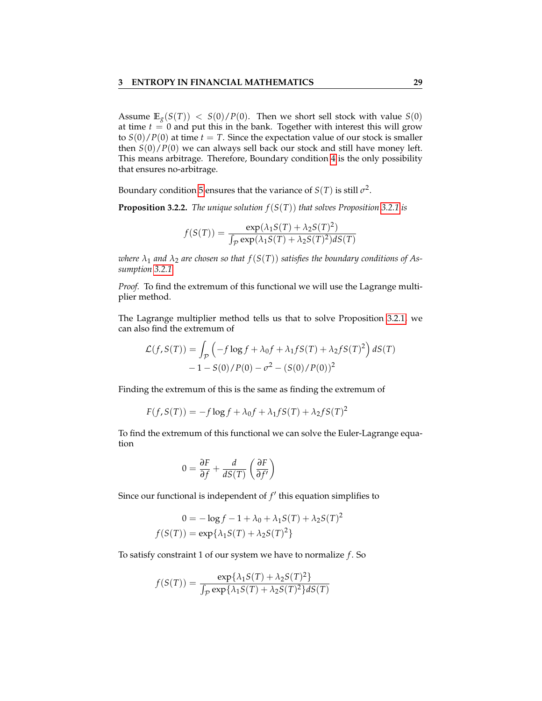Assume  $\mathbb{E}_g(S(T)) < S(0)/P(0)$ . Then we short sell stock with value  $S(0)$ at time  $t = 0$  and put this in the bank. Together with interest this will grow to  $S(0)/P(0)$  at time  $t = T$ . Since the expectation value of our stock is smaller then *S*(0)/*P*(0) we can always sell back our stock and still have money left. This means arbitrage. Therefore, Boundary condition [4](#page-31-2) is the only possibility that ensures no-arbitrage.

Boundary condition [5](#page-31-3) ensures that the variance of  $S(T)$  is still  $\sigma^2$ .

**Proposition 3.2.2.** *The unique solution f*(*S*(*T*)) *that solves Proposition [3.2.1](#page-31-4) is*

$$
f(S(T)) = \frac{\exp(\lambda_1 S(T) + \lambda_2 S(T)^2)}{\int_{\mathcal{P}} \exp(\lambda_1 S(T) + \lambda_2 S(T)^2) dS(T)}
$$

*where*  $\lambda_1$  *and*  $\lambda_2$  *are chosen so that*  $f(S(T))$  *satisfies the boundary conditions of Assumption [3.2.1.](#page-31-4)*

*Proof.* To find the extremum of this functional we will use the Lagrange multiplier method.

The Lagrange multiplier method tells us that to solve Proposition [3.2.1,](#page-31-4) we can also find the extremum of

$$
\mathcal{L}(f, S(T)) = \int_{\mathcal{P}} \left( -f \log f + \lambda_0 f + \lambda_1 f S(T) + \lambda_2 f S(T)^2 \right) dS(T) - 1 - S(0) / P(0) - \sigma^2 - (S(0) / P(0))^2
$$

Finding the extremum of this is the same as finding the extremum of

$$
F(f, S(T)) = -f \log f + \lambda_0 f + \lambda_1 f S(T) + \lambda_2 f S(T)^2
$$

To find the extremum of this functional we can solve the Euler-Lagrange equation

$$
0 = \frac{\partial F}{\partial f} + \frac{d}{dS(T)} \left( \frac{\partial F}{\partial f'} \right)
$$

Since our functional is independent of  $f'$  this equation simplifies to

$$
0 = -\log f - 1 + \lambda_0 + \lambda_1 S(T) + \lambda_2 S(T)^2
$$

$$
f(S(T)) = \exp{\lambda_1 S(T) + \lambda_2 S(T)^2}
$$

To satisfy constraint 1 of our system we have to normalize *f* . So

$$
f(S(T)) = \frac{\exp{\{\lambda_1 S(T) + \lambda_2 S(T)^2\}}}{\int_{\mathcal{P}} \exp{\{\lambda_1 S(T) + \lambda_2 S(T)^2\}} dS(T)}
$$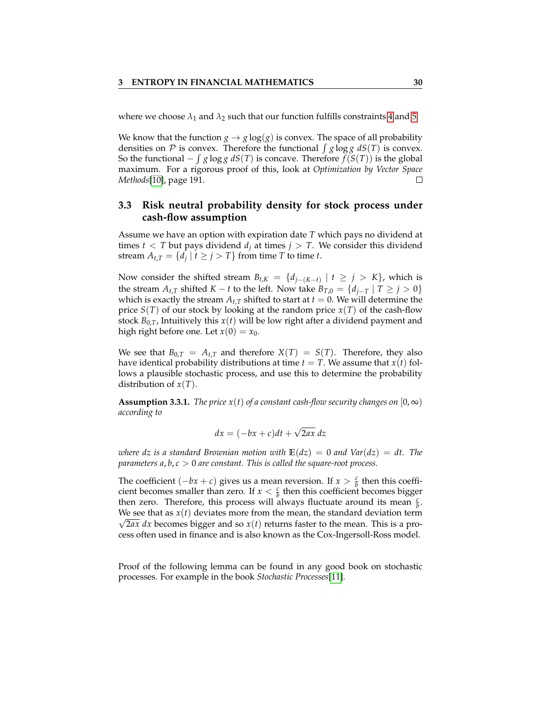where we choose  $\lambda_1$  and  $\lambda_2$  such that our function fulfills constraints [4](#page-31-2) and [5.](#page-31-3)

We know that the function  $g \to g \log(g)$  is convex. The space of all probability densities on  $P$  is convex. Therefore the functional  $\int g \log g \ dS(T)$  is convex. So the functional  $-\int g \log g \ dS(T)$  is concave. Therefore  $f(S(T))$  is the global maximum. For a rigorous proof of this, look at *Optimization by Vector Space Methods*[\[10\]](#page-52-8), page 191.

#### <span id="page-33-0"></span>**3.3 Risk neutral probability density for stock process under cash-flow assumption**

Assume we have an option with expiration date *T* which pays no dividend at times  $t < T$  but pays dividend  $d_j$  at times  $j > T$ . We consider this dividend stream  $A_{t,T} = \{d_j \mid t \ge j > T\}$  from time *T* to time *t*.

Now consider the shifted stream  $B_{t,K} = \{d_{j-(K-t)} | t \geq j > K\}$ , which is the stream *A*<sub>t</sub>,*T* shifted *K* − *t* to the left. Now take  $B_{T,0} = \{d_{i-T} | T \geq j > 0\}$ which is exactly the stream  $A_{t,T}$  shifted to start at  $t = 0$ . We will determine the price  $S(T)$  of our stock by looking at the random price  $x(T)$  of the cash-flow stock  $B_{0,T}$ , Intuitively this  $x(t)$  will be low right after a dividend payment and high right before one. Let  $x(0) = x_0$ .

We see that  $B_{0,T} = A_{t,T}$  and therefore  $X(T) = S(T)$ . Therefore, they also have identical probability distributions at time  $t = T$ . We assume that  $x(t)$  follows a plausible stochastic process, and use this to determine the probability distribution of *x*(*T*).

**Assumption 3.3.1.** *The price*  $x(t)$  *of a constant cash-flow security changes on* [0, $\infty$ ) *according to*

$$
dx = (-bx + c)dt + \sqrt{2ax} dz
$$

*where dz is a standard Brownian motion with*  $E(dz) = 0$  *and Var*( $dz$ ) = *dt.* The *parameters a*, *b*, *c* > 0 *are constant. This is called the square-root process.*

The coefficient  $(-bx + c)$  gives us a mean reversion. If  $x > \frac{c}{b}$  then this coefficient becomes smaller than zero. If  $x < \frac{c}{b}$  then this coefficient becomes bigger then zero. Therefore, this process will always fluctuate around its mean  $\frac{c}{b}$ . We see that as  $x(t)$  deviates more from the mean, the standard deviation term  $\sqrt{2ax}$  dx becomes bigger and so  $x(t)$  returns faster to the mean. This is a process often used in finance and is also known as the Cox-Ingersoll-Ross model.

Proof of the following lemma can be found in any good book on stochastic processes. For example in the book *Stochastic Processes*[\[11\]](#page-52-9).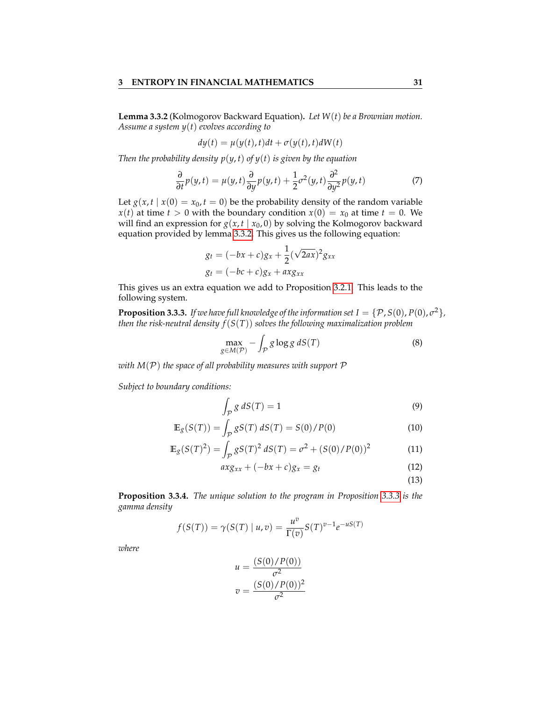<span id="page-34-0"></span>**Lemma 3.3.2** (Kolmogorov Backward Equation)**.** *Let W*(*t*) *be a Brownian motion. Assume a system y*(*t*) *evolves according to*

$$
dy(t) = \mu(y(t), t)dt + \sigma(y(t), t)dW(t)
$$

*Then the probability density*  $p(y, t)$  *of*  $y(t)$  *is given by the equation* 

$$
\frac{\partial}{\partial t}p(y,t) = \mu(y,t)\frac{\partial}{\partial y}p(y,t) + \frac{1}{2}\sigma^2(y,t)\frac{\partial^2}{\partial y^2}p(y,t)
$$
(7)

Let  $g(x, t | x(0) = x_0, t = 0)$  be the probability density of the random variable *x*(*t*) at time *t* > 0 with the boundary condition  $x(0) = x_0$  at time *t* = 0. We will find an expression for  $g(x, t | x_0, 0)$  by solving the Kolmogorov backward equation provided by lemma [3.3.2.](#page-34-0) This gives us the following equation:

$$
g_t = (-bx + c)g_x + \frac{1}{2}(\sqrt{2ax})^2 g_{xx}
$$
  

$$
g_t = (-bc + c)g_x + axg_{xx}
$$

This gives us an extra equation we add to Proposition [3.2.1.](#page-31-4) This leads to the following system.

<span id="page-34-1"></span>**Proposition 3.3.3.** If we have full knowledge of the information set  $I = \{P$  ,  $S(0)$  ,  $P(0)$  ,  $\sigma^2\}$  , *then the risk-neutral density f*(*S*(*T*)) *solves the following maximalization problem*

$$
\max_{g \in M(\mathcal{P})} - \int_{\mathcal{P}} g \log g \, dS(T) \tag{8}
$$

*with M*(P) *the space of all probability measures with support* P

*Subject to boundary conditions:*

$$
\int_{\mathcal{P}} g \, dS(T) = 1 \tag{9}
$$

$$
\mathbb{E}_{g}(S(T)) = \int_{P} gS(T) dS(T) = S(0) / P(0)
$$
\n(10)

$$
\mathbb{E}_{g}(S(T)^{2}) = \int_{\mathcal{P}} gS(T)^{2} dS(T) = \sigma^{2} + (S(0)/P(0))^{2}
$$
 (11)

$$
axg_{xx} + (-bx + c)g_x = g_t \tag{12}
$$

<span id="page-34-2"></span>(13)

<span id="page-34-3"></span>**Proposition 3.3.4.** *The unique solution to the program in Proposition [3.3.3](#page-34-1) is the gamma density*

$$
f(S(T)) = \gamma(S(T) | u, v) = \frac{u^{v}}{\Gamma(v)} S(T)^{v-1} e^{-uS(T)}
$$

*where*

$$
u = \frac{(S(0)/P(0))}{\sigma^2}
$$

$$
v = \frac{(S(0)/P(0))^2}{\sigma^2}
$$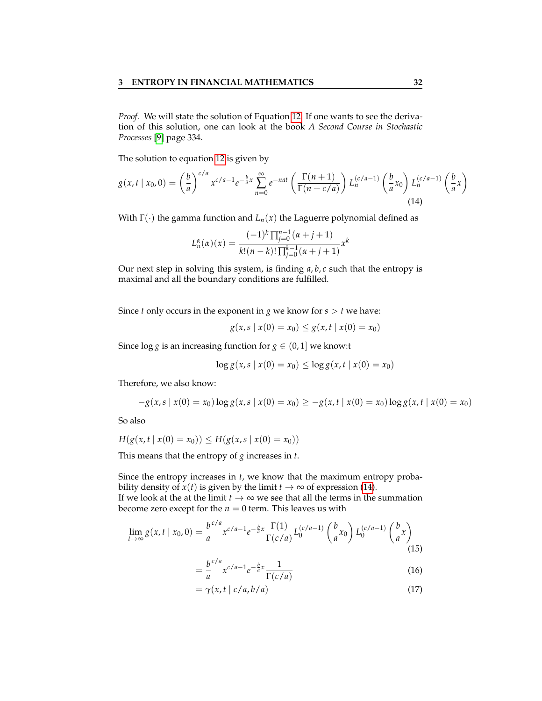*Proof.* We will state the solution of Equation [12.](#page-34-2) If one wants to see the derivation of this solution, one can look at the book *A Second Course in Stochastic Processes* [\[9\]](#page-52-10) page 334.

The solution to equation [12](#page-34-2) is given by

$$
g(x,t \mid x_0,0) = \left(\frac{b}{a}\right)^{c/a} x^{c/a-1} e^{-\frac{b}{a}x} \sum_{n=0}^{\infty} e^{-nat} \left(\frac{\Gamma(n+1)}{\Gamma(n+c/a)}\right) L_n^{(c/a-1)}\left(\frac{b}{a}x_0\right) L_n^{(c/a-1)}\left(\frac{b}{a}x\right)
$$
\n(14)

With  $\Gamma(\cdot)$  the gamma function and  $L_n(x)$  the Laguerre polynomial defined as

<span id="page-35-0"></span>
$$
L_n^{\alpha}(\alpha)(x) = \frac{(-1)^k \prod_{j=0}^{n-1} (\alpha + j + 1)}{k!(n-k)! \prod_{j=0}^{k-1} (\alpha + j + 1)} x^k
$$

Our next step in solving this system, is finding *a*, *b*, *c* such that the entropy is maximal and all the boundary conditions are fulfilled.

Since *t* only occurs in the exponent in *g* we know for  $s > t$  we have:

$$
g(x, s \mid x(0) = x_0) \le g(x, t \mid x(0) = x_0)
$$

Since  $\log g$  is an increasing function for  $g \in (0, 1]$  we know:t

$$
\log g(x, s \mid x(0) = x_0) \le \log g(x, t \mid x(0) = x_0)
$$

Therefore, we also know:

$$
-g(x, s \mid x(0) = x_0) \log g(x, s \mid x(0) = x_0) \ge -g(x, t \mid x(0) = x_0) \log g(x, t \mid x(0) = x_0)
$$

So also

$$
H(g(x, t \mid x(0) = x_0)) \le H(g(x, s \mid x(0) = x_0))
$$

This means that the entropy of *g* increases in *t*.

Since the entropy increases in *t*, we know that the maximum entropy probability density of  $x(t)$  is given by the limit  $t \to \infty$  of expression [\(14\)](#page-35-0). If we look at the at the limit  $t \to \infty$  we see that all the terms in the summation

become zero except for the  $n = 0$  term. This leaves us with

$$
\lim_{t \to \infty} g(x, t \mid x_0, 0) = \frac{b^{c/a}}{a} x^{c/a - 1} e^{-\frac{b}{a}x} \frac{\Gamma(1)}{\Gamma(c/a)} L_0^{(c/a - 1)} \left(\frac{b}{a} x_0\right) L_0^{(c/a - 1)} \left(\frac{b}{a} x\right)
$$
\n(15)

$$
= \frac{b^{c/a}}{a} x^{c/a - 1} e^{-\frac{b}{a}x} \frac{1}{\Gamma(c/a)}
$$
(16)

$$
= \gamma(x, t \mid c/a, b/a) \tag{17}
$$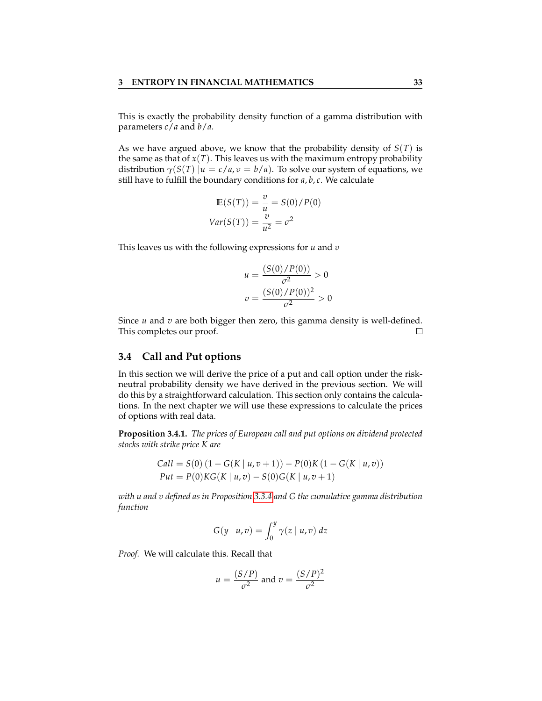This is exactly the probability density function of a gamma distribution with parameters *c*/*a* and *b*/*a*.

As we have argued above, we know that the probability density of *S*(*T*) is the same as that of  $x(T)$ . This leaves us with the maximum entropy probability distribution  $\gamma(S(T) | u = c/a, v = b/a)$ . To solve our system of equations, we still have to fulfill the boundary conditions for *a*, *b*, *c*. We calculate

$$
E(S(T)) = \frac{v}{u} = S(0)/P(0)
$$
  
Var(S(T)) =  $\frac{v}{u^2} = \sigma^2$ 

This leaves us with the following expressions for *u* and *v*

$$
u = \frac{(S(0)/P(0))}{\sigma^2} > 0
$$
  

$$
v = \frac{(S(0)/P(0))^2}{\sigma^2} > 0
$$

Since *u* and *v* are both bigger then zero, this gamma density is well-defined. This completes our proof.  $\Box$ 

#### <span id="page-36-0"></span>**3.4 Call and Put options**

In this section we will derive the price of a put and call option under the riskneutral probability density we have derived in the previous section. We will do this by a straightforward calculation. This section only contains the calculations. In the next chapter we will use these expressions to calculate the prices of options with real data.

<span id="page-36-1"></span>**Proposition 3.4.1.** *The prices of European call and put options on dividend protected stocks with strike price K are*

$$
Call = S(0) (1 - G(K | u, v + 1)) – P(0)K (1 - G(K | u, v))
$$
  
Put = P(0)KG(K | u, v) – S(0)G(K | u, v + 1)

*with u and v defined as in Proposition [3.3.4](#page-34-3) and G the cumulative gamma distribution function*

$$
G(y \mid u, v) = \int_0^y \gamma(z \mid u, v) \, dz
$$

*Proof.* We will calculate this. Recall that

$$
u = \frac{(S/P)}{\sigma^2}
$$
 and  $v = \frac{(S/P)^2}{\sigma^2}$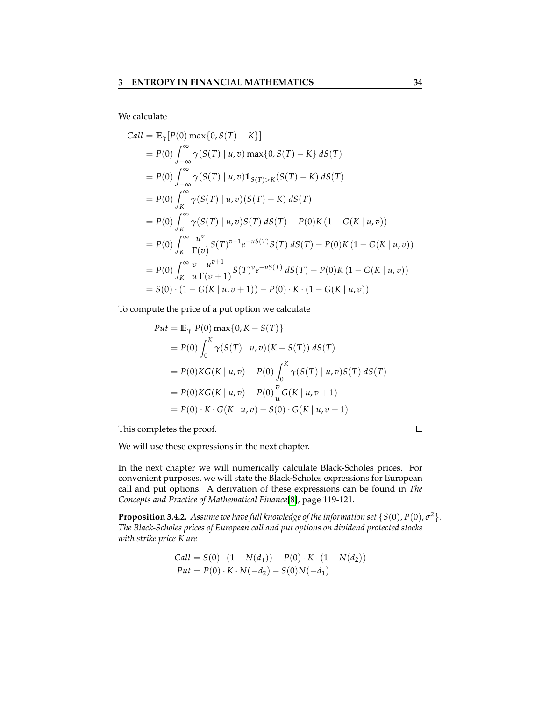We calculate

$$
Call = \mathbb{E}_{\gamma}[P(0) \max\{0, S(T) - K\}]
$$
  
\n
$$
= P(0) \int_{-\infty}^{\infty} \gamma(S(T) | u, v) \max\{0, S(T) - K\} dS(T)
$$
  
\n
$$
= P(0) \int_{-\infty}^{\infty} \gamma(S(T) | u, v) 1_{S(T) > K}(S(T) - K) dS(T)
$$
  
\n
$$
= P(0) \int_{K}^{\infty} \gamma(S(T) | u, v) (S(T) - K) dS(T)
$$
  
\n
$$
= P(0) \int_{K}^{\infty} \gamma(S(T) | u, v) S(T) dS(T) - P(0) K (1 - G(K | u, v))
$$
  
\n
$$
= P(0) \int_{K}^{\infty} \frac{u^{v}}{\Gamma(v)} S(T)^{v-1} e^{-uS(T)} S(T) dS(T) - P(0) K (1 - G(K | u, v))
$$
  
\n
$$
= P(0) \int_{K}^{\infty} \frac{v}{u} \frac{u^{v+1}}{\Gamma(v+1)} S(T)^{v} e^{-uS(T)} dS(T) - P(0) K (1 - G(K | u, v))
$$
  
\n
$$
= S(0) \cdot (1 - G(K | u, v + 1)) - P(0) \cdot K \cdot (1 - G(K | u, v))
$$

To compute the price of a put option we calculate

Put = 
$$
\mathbb{E}_{\gamma}[P(0) \max\{0, K - S(T)\}]
$$
  
\n=  $P(0) \int_0^K \gamma(S(T) | u, v)(K - S(T)) dS(T)$   
\n=  $P(0)KG(K | u, v) - P(0) \int_0^K \gamma(S(T) | u, v)S(T) dS(T)$   
\n=  $P(0)KG(K | u, v) - P(0) \frac{v}{u}G(K | u, v + 1)$   
\n=  $P(0) \cdot K \cdot G(K | u, v) - S(0) \cdot G(K | u, v + 1)$ 

This completes the proof.

We will use these expressions in the next chapter.

In the next chapter we will numerically calculate Black-Scholes prices. For convenient purposes, we will state the Black-Scholes expressions for European call and put options. A derivation of these expressions can be found in *The Concepts and Practice of Mathematical Finance*[\[8\]](#page-52-11), page 119-121.

**Proposition 3.4.2.** Assume we have full knowledge of the information set  $\{S(0), P(0), \sigma^2\}$ . *The Black-Scholes prices of European call and put options on dividend protected stocks with strike price K are*

$$
Call = S(0) \cdot (1 - N(d_1)) - P(0) \cdot K \cdot (1 - N(d_2))
$$
  
Put = P(0) \cdot K \cdot N(-d\_2) - S(0)N(-d\_1)

 $\Box$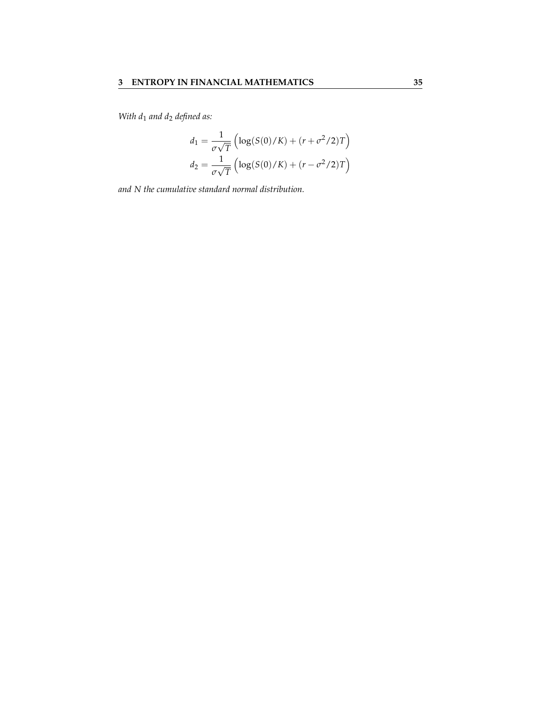*With d*<sup>1</sup> *and d*<sup>2</sup> *defined as:*

$$
d_1 = \frac{1}{\sigma\sqrt{T}} \left( \log(S(0)/K) + (r + \sigma^2/2)T \right)
$$

$$
d_2 = \frac{1}{\sigma\sqrt{T}} \left( \log(S(0)/K) + (r - \sigma^2/2)T \right)
$$

*and N the cumulative standard normal distribution.*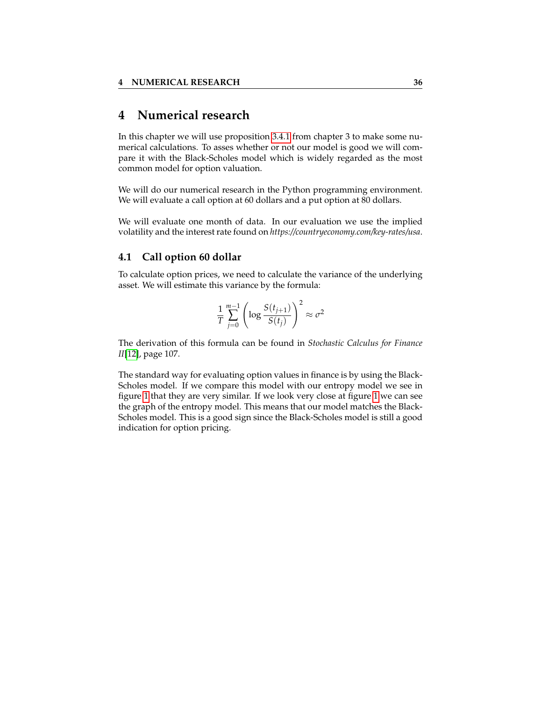# <span id="page-39-0"></span>**4 Numerical research**

In this chapter we will use proposition [3.4.1](#page-36-1) from chapter 3 to make some numerical calculations. To asses whether or not our model is good we will compare it with the Black-Scholes model which is widely regarded as the most common model for option valuation.

We will do our numerical research in the Python programming environment. We will evaluate a call option at 60 dollars and a put option at 80 dollars.

We will evaluate one month of data. In our evaluation we use the implied volatility and the interest rate found on *https://countryeconomy.com/key-rates/usa*.

#### <span id="page-39-1"></span>**4.1 Call option 60 dollar**

To calculate option prices, we need to calculate the variance of the underlying asset. We will estimate this variance by the formula:

$$
\frac{1}{T} \sum_{j=0}^{m-1} \left( \log \frac{S(t_{j+1})}{S(t_j)} \right)^2 \approx \sigma^2
$$

The derivation of this formula can be found in *Stochastic Calculus for Finance II*[\[12\]](#page-52-12), page 107.

The standard way for evaluating option values in finance is by using the Black-Scholes model. If we compare this model with our entropy model we see in figure [1](#page-40-0) that they are very similar. If we look very close at figure [1](#page-40-0) we can see the graph of the entropy model. This means that our model matches the Black-Scholes model. This is a good sign since the Black-Scholes model is still a good indication for option pricing.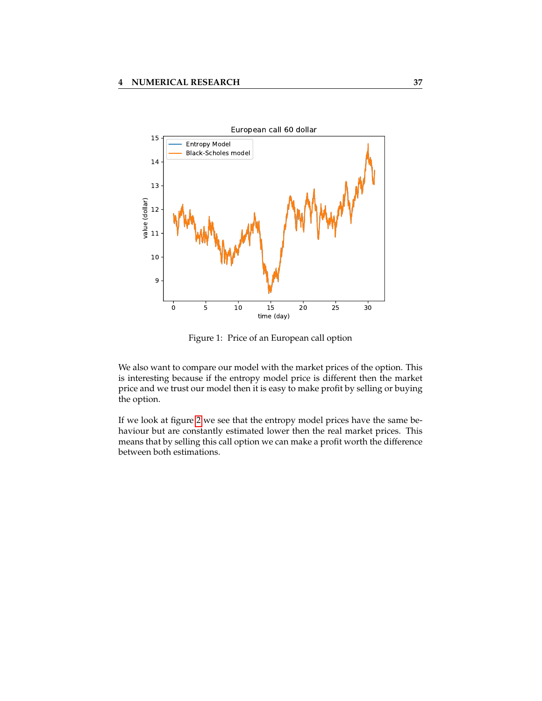<span id="page-40-0"></span>

Figure 1: Price of an European call option

We also want to compare our model with the market prices of the option. This is interesting because if the entropy model price is different then the market price and we trust our model then it is easy to make profit by selling or buying the option.

If we look at figure [2](#page-41-1) we see that the entropy model prices have the same behaviour but are constantly estimated lower then the real market prices. This means that by selling this call option we can make a profit worth the difference between both estimations.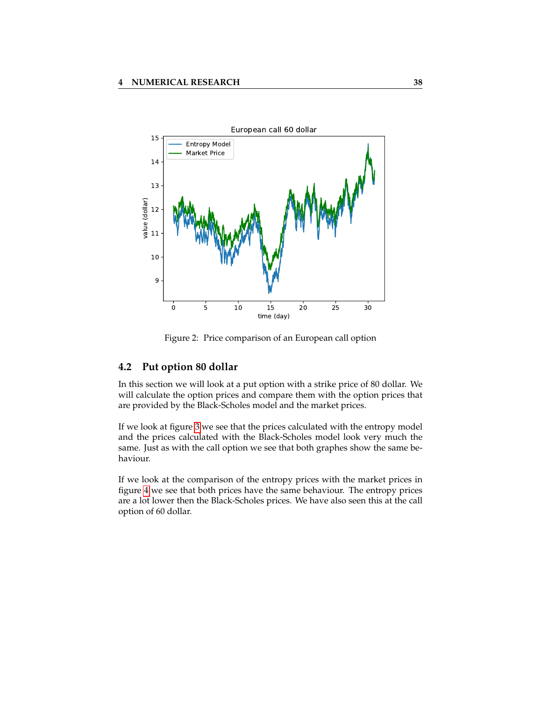<span id="page-41-1"></span>

Figure 2: Price comparison of an European call option

#### <span id="page-41-0"></span>**4.2 Put option 80 dollar**

In this section we will look at a put option with a strike price of 80 dollar. We will calculate the option prices and compare them with the option prices that are provided by the Black-Scholes model and the market prices.

If we look at figure [3](#page-42-1) we see that the prices calculated with the entropy model and the prices calculated with the Black-Scholes model look very much the same. Just as with the call option we see that both graphes show the same behaviour.

If we look at the comparison of the entropy prices with the market prices in figure [4](#page-42-2) we see that both prices have the same behaviour. The entropy prices are a lot lower then the Black-Scholes prices. We have also seen this at the call option of 60 dollar.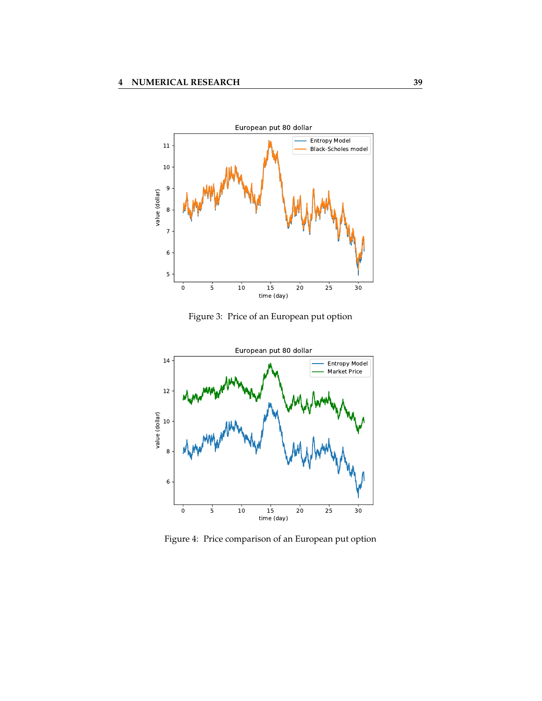<span id="page-42-1"></span>

Figure 3: Price of an European put option

<span id="page-42-2"></span>

<span id="page-42-0"></span>Figure 4: Price comparison of an European put option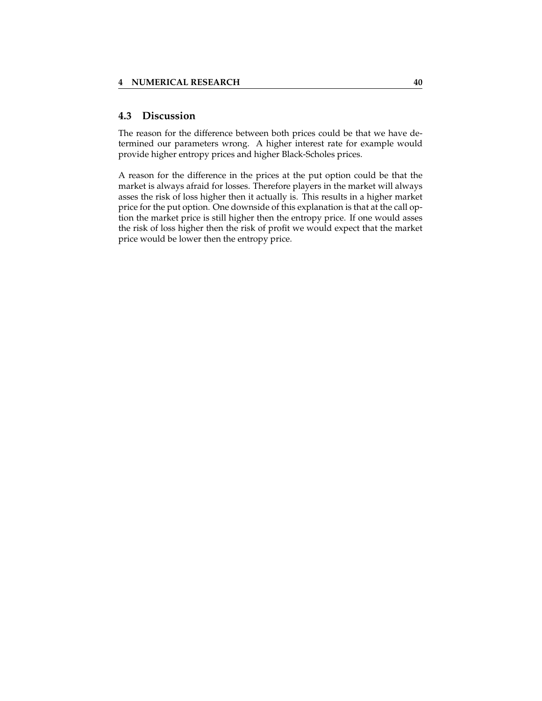#### **4.3 Discussion**

The reason for the difference between both prices could be that we have determined our parameters wrong. A higher interest rate for example would provide higher entropy prices and higher Black-Scholes prices.

A reason for the difference in the prices at the put option could be that the market is always afraid for losses. Therefore players in the market will always asses the risk of loss higher then it actually is. This results in a higher market price for the put option. One downside of this explanation is that at the call option the market price is still higher then the entropy price. If one would asses the risk of loss higher then the risk of profit we would expect that the market price would be lower then the entropy price.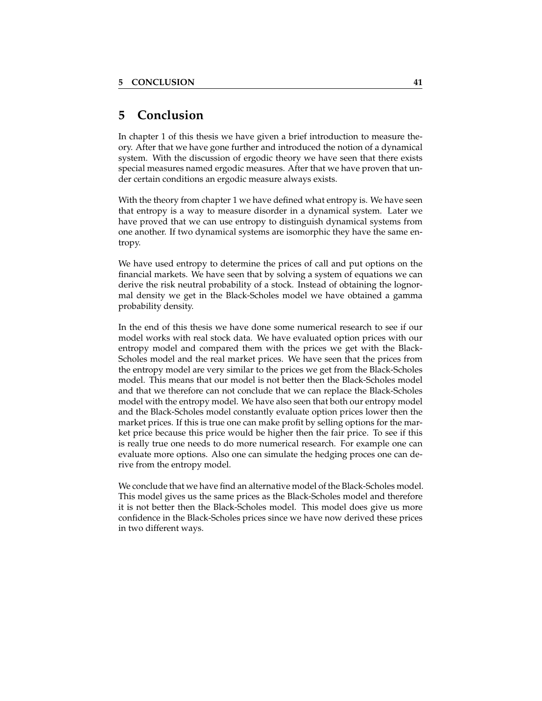# <span id="page-44-0"></span>**5 Conclusion**

In chapter 1 of this thesis we have given a brief introduction to measure theory. After that we have gone further and introduced the notion of a dynamical system. With the discussion of ergodic theory we have seen that there exists special measures named ergodic measures. After that we have proven that under certain conditions an ergodic measure always exists.

With the theory from chapter 1 we have defined what entropy is. We have seen that entropy is a way to measure disorder in a dynamical system. Later we have proved that we can use entropy to distinguish dynamical systems from one another. If two dynamical systems are isomorphic they have the same entropy.

We have used entropy to determine the prices of call and put options on the financial markets. We have seen that by solving a system of equations we can derive the risk neutral probability of a stock. Instead of obtaining the lognormal density we get in the Black-Scholes model we have obtained a gamma probability density.

In the end of this thesis we have done some numerical research to see if our model works with real stock data. We have evaluated option prices with our entropy model and compared them with the prices we get with the Black-Scholes model and the real market prices. We have seen that the prices from the entropy model are very similar to the prices we get from the Black-Scholes model. This means that our model is not better then the Black-Scholes model and that we therefore can not conclude that we can replace the Black-Scholes model with the entropy model. We have also seen that both our entropy model and the Black-Scholes model constantly evaluate option prices lower then the market prices. If this is true one can make profit by selling options for the market price because this price would be higher then the fair price. To see if this is really true one needs to do more numerical research. For example one can evaluate more options. Also one can simulate the hedging proces one can derive from the entropy model.

We conclude that we have find an alternative model of the Black-Scholes model. This model gives us the same prices as the Black-Scholes model and therefore it is not better then the Black-Scholes model. This model does give us more confidence in the Black-Scholes prices since we have now derived these prices in two different ways.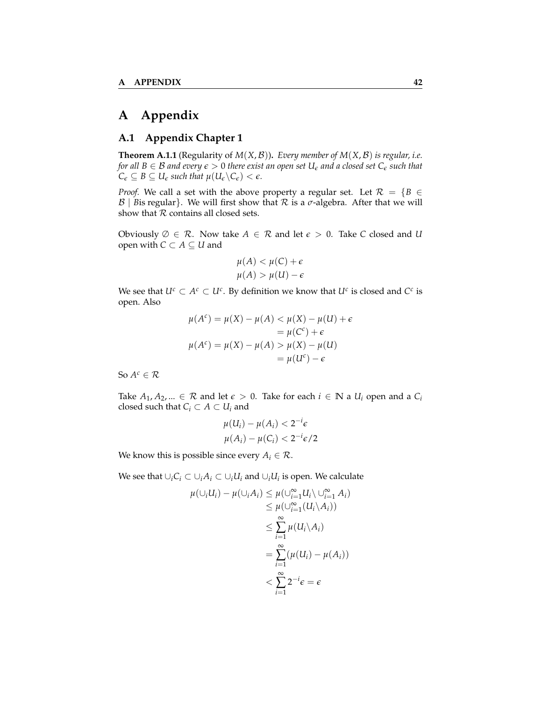# <span id="page-45-0"></span>**A Appendix**

#### <span id="page-45-1"></span>**A.1 Appendix Chapter 1**

**Theorem A.1.1** (Regularity of  $M(X, \mathcal{B})$ ). *Every member of*  $M(X, \mathcal{B})$  *is regular, i.e. for all*  $B \in \mathcal{B}$  *and every*  $\epsilon > 0$  *there exist an open set*  $U_{\epsilon}$  *and a closed set*  $C_{\epsilon}$  *such that*  $C_{\epsilon} \subseteq B \subseteq U_{\epsilon}$  *such that*  $\mu(U_{\epsilon} \backslash C_{\epsilon}) < \epsilon$ *.* 

*Proof.* We call a set with the above property a regular set. Let  $\mathcal{R} = \{B \in$  $\mathcal{B}$  | *B*is regular}. We will first show that  $\mathcal{R}$  is a  $\sigma$ -algebra. After that we will show that  $R$  contains all closed sets.

Obviously  $\emptyset \in \mathcal{R}$ . Now take  $A \in \mathcal{R}$  and let  $\epsilon > 0$ . Take *C* closed and *U* open with  $C \subset A \subseteq U$  and

$$
\mu(A) < \mu(C) + \epsilon
$$
\n
$$
\mu(A) > \mu(U) - \epsilon
$$

We see that  $U^c \subset A^c \subset U^c$ . By definition we know that  $U^c$  is closed and  $C^c$  is open. Also

$$
\mu(A^{c}) = \mu(X) - \mu(A) < \mu(X) - \mu(U) + \epsilon
$$
\n
$$
= \mu(C^{c}) + \epsilon
$$
\n
$$
\mu(A^{c}) = \mu(X) - \mu(A) > \mu(X) - \mu(U)
$$
\n
$$
= \mu(U^{c}) - \epsilon
$$

So  $A^c \in \mathcal{R}$ 

Take *A*<sub>1</sub>, *A*<sub>2</sub>, ... ∈ *R* and let  $\epsilon$  > 0. Take for each  $i \in \mathbb{N}$  a  $U_i$  open and a  $C_i$ closed such that  $C_i \subset A \subset U_i$  and

$$
\mu(U_i) - \mu(A_i) < 2^{-i}\epsilon
$$
\n
$$
\mu(A_i) - \mu(C_i) < 2^{-i}\epsilon/2
$$

We know this is possible since every  $A_i \in \mathcal{R}$ .

We see that  $\cup_i C_i \subset \cup_i A_i \subset \cup_i U_i$  and  $\cup_i U_i$  is open. We calculate

$$
\mu(\cup_i U_i) - \mu(\cup_i A_i) \leq \mu(\cup_{i=1}^{\infty} U_i \setminus \cup_{i=1}^{\infty} A_i)
$$
  
\n
$$
\leq \mu(\cup_{i=1}^{\infty} (U_i \setminus A_i))
$$
  
\n
$$
\leq \sum_{i=1}^{\infty} \mu(U_i \setminus A_i)
$$
  
\n
$$
= \sum_{i=1}^{\infty} (\mu(U_i) - \mu(A_i))
$$
  
\n
$$
< \sum_{i=1}^{\infty} 2^{-i} \epsilon = \epsilon
$$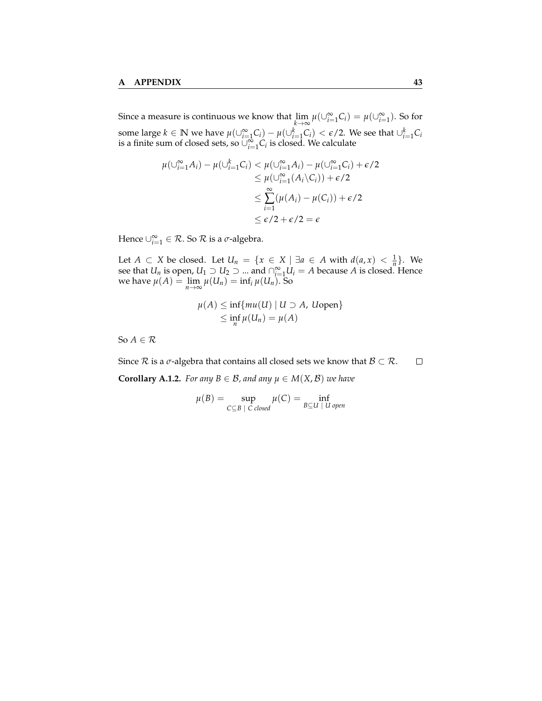Since a measure is continuous we know that  $\lim_{k \to \infty} \mu(\cup_{i=1}^{\infty} C_i) = \mu(\cup_{i=1}^{\infty})$ . So for some large  $k \in \mathbb{N}$  we have  $\mu(\cup_{i=1}^{\infty} C_i) - \mu(\cup_{i=1}^{k} C_i) < \epsilon/2$ . We see that  $\cup_{i=1}^{k} C_i$ is a finite sum of closed sets, so  $\cup_{i=1}^{\infty} C_i$  is closed. We calculate

$$
\mu(\bigcup_{i=1}^{\infty} A_i) - \mu(\bigcup_{i=1}^{k} C_i) < \mu(\bigcup_{i=1}^{\infty} A_i) - \mu(\bigcup_{i=1}^{\infty} C_i) + \epsilon/2
$$
\n
$$
\leq \mu(\bigcup_{i=1}^{\infty} (A_i \setminus C_i)) + \epsilon/2
$$
\n
$$
\leq \sum_{i=1}^{\infty} (\mu(A_i) - \mu(C_i)) + \epsilon/2
$$
\n
$$
\leq \epsilon/2 + \epsilon/2 = \epsilon
$$

Hence  $\cup_{i=1}^{\infty} \in \mathcal{R}$ . So  $\mathcal{R}$  is a  $\sigma$ -algebra.

Let *A* ⊂ *X* be closed. Let *U<sub>n</sub>* = {*x* ∈ *X* | ∃*a* ∈ *A* with  $d(a, x) < \frac{1}{n}$ }. We see that *U<sub>n</sub>* is open, *U*<sub>1</sub>  $\supset U_2$   $\supset ...$  and  $\bigcap_{i=1}^{\infty} U_i = A$  because *A* is closed. Hence we have  $\mu(A) = \lim_{n \to \infty} \mu(U_n) = \inf_i \mu(U_n)$ . So

$$
\mu(A) \le \inf \{ mu(U) \mid U \supset A, \text{ Uopen} \}
$$
  
 
$$
\le \inf_{n} \mu(U_n) = \mu(A)
$$

So  $A \in \mathcal{R}$ 

Since  $R$  is a  $\sigma$ -algebra that contains all closed sets we know that  $B \subset R$ .  $\Box$ **Corollary A.1.2.** *For any*  $B \in \mathcal{B}$ *, and any*  $\mu \in M(X, \mathcal{B})$  *we have* 

$$
\mu(B) = \sup_{C \subseteq B \, | \, C \, closed} \mu(C) = \inf_{B \subseteq U \, | \, U \, open}
$$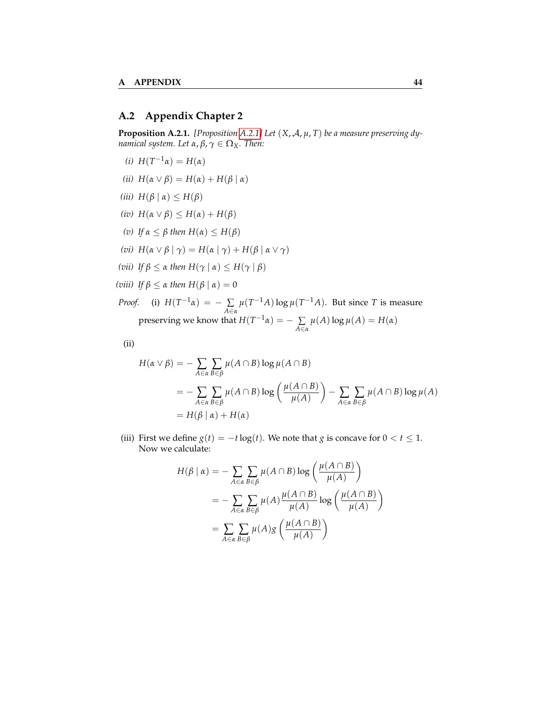#### <span id="page-47-0"></span>**A.2 Appendix Chapter 2**

<span id="page-47-1"></span>**Proposition A.2.1.** *[Proposition [A.2.1\]](#page-47-1) Let* (*X*, A, *µ*, *T*) *be a measure preserving dynamical system. Let*  $\alpha$ ,  $\beta$ ,  $\gamma \in \Omega_X$ *. Then:* 

- *(i)*  $H(T^{-1}α) = H(α)$
- *(ii)*  $H(α ∨ β) = H(α) + H(β | α)$
- *(iii)*  $H(β | α) ≤ H(β)$
- *(iv)*  $H(α ∨ β) ≤ H(α) + H(β)$
- *(v) If*  $\alpha$  ≤ *β then*  $H(\alpha)$  ≤  $H(\beta)$
- *(vi)*  $H(\alpha \vee \beta \mid \gamma) = H(\alpha \mid \gamma) + H(\beta \mid \alpha \vee \gamma)$
- *(vii) If*  $\beta$  ≤ *α then*  $H(\gamma | \alpha)$  ≤  $H(\gamma | \beta)$
- *(viii) If*  $β ≤ α$  *then*  $H(β | α) = 0$

*Proof.* (i)  $H(T^{-1}\alpha) = -\sum$ *A*∈*α*  $\mu(T^{-1}A)\log\mu(T^{-1}A)$ . But since *T* is measure preserving we know that  $H(T^{-1}\alpha) = -\sum$ *A*∈*α*  $\mu(A)$ log  $\mu(A) = H(\alpha)$ 

(ii)

$$
H(\alpha \vee \beta) = -\sum_{A \in \alpha} \sum_{B \in \beta} \mu(A \cap B) \log \mu(A \cap B)
$$
  
= 
$$
-\sum_{A \in \alpha} \sum_{B \in \beta} \mu(A \cap B) \log \left( \frac{\mu(A \cap B)}{\mu(A)} \right) - \sum_{A \in \alpha} \sum_{B \in \beta} \mu(A \cap B) \log \mu(A)
$$
  
= 
$$
H(\beta | \alpha) + H(\alpha)
$$

(iii) First we define  $g(t) = -t \log(t)$ . We note that *g* is concave for  $0 < t \le 1$ . Now we calculate:

$$
H(\beta \mid \alpha) = -\sum_{A \in \alpha} \sum_{B \in \beta} \mu(A \cap B) \log \left( \frac{\mu(A \cap B)}{\mu(A)} \right)
$$
  
= 
$$
-\sum_{A \in \alpha} \sum_{B \in \beta} \mu(A) \frac{\mu(A \cap B)}{\mu(A)} \log \left( \frac{\mu(A \cap B)}{\mu(A)} \right)
$$
  
= 
$$
\sum_{A \in \alpha} \sum_{B \in \beta} \mu(A) g \left( \frac{\mu(A \cap B)}{\mu(A)} \right)
$$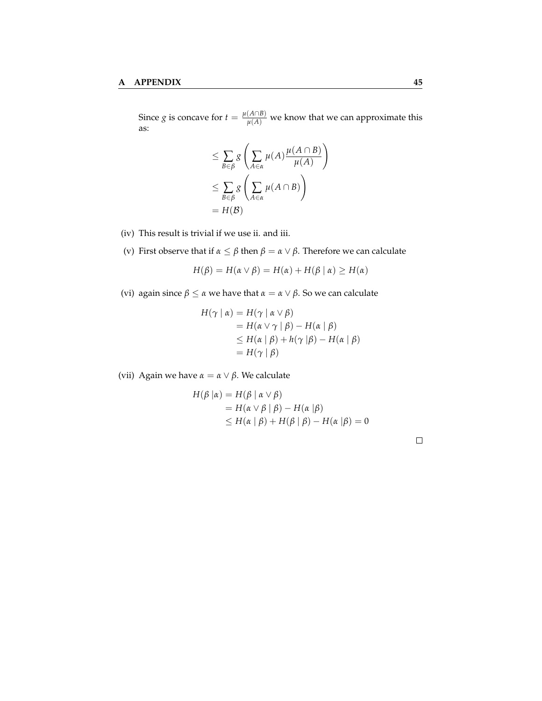Since *g* is concave for  $t = \frac{\mu(A \cap B)}{\mu(A)}$  we know that we can approximate this as:

$$
\leq \sum_{B \in \beta} g\left(\sum_{A \in \alpha} \mu(A) \frac{\mu(A \cap B)}{\mu(A)}\right)
$$
  

$$
\leq \sum_{B \in \beta} g\left(\sum_{A \in \alpha} \mu(A \cap B)\right)
$$
  

$$
= H(B)
$$

- (iv) This result is trivial if we use ii. and iii.
- (v) First observe that if *α* ≤ *β* then *β* = *α* ∨ *β*. Therefore we can calculate

$$
H(\beta) = H(\alpha \vee \beta) = H(\alpha) + H(\beta \mid \alpha) \ge H(\alpha)
$$

(vi) again since  $\beta \le \alpha$  we have that  $\alpha = \alpha \vee \beta$ . So we can calculate

$$
H(\gamma | \alpha) = H(\gamma | \alpha \vee \beta)
$$
  
=  $H(\alpha \vee \gamma | \beta) - H(\alpha | \beta)$   
 $\leq H(\alpha | \beta) + h(\gamma | \beta) - H(\alpha | \beta)$   
=  $H(\gamma | \beta)$ 

(vii) Again we have  $\alpha = \alpha \vee \beta$ . We calculate

$$
H(\beta \mid \alpha) = H(\beta \mid \alpha \lor \beta)
$$
  
=  $H(\alpha \lor \beta \mid \beta) - H(\alpha \mid \beta)$   
 $\leq H(\alpha \mid \beta) + H(\beta \mid \beta) - H(\alpha \mid \beta) = 0$ 

 $\Box$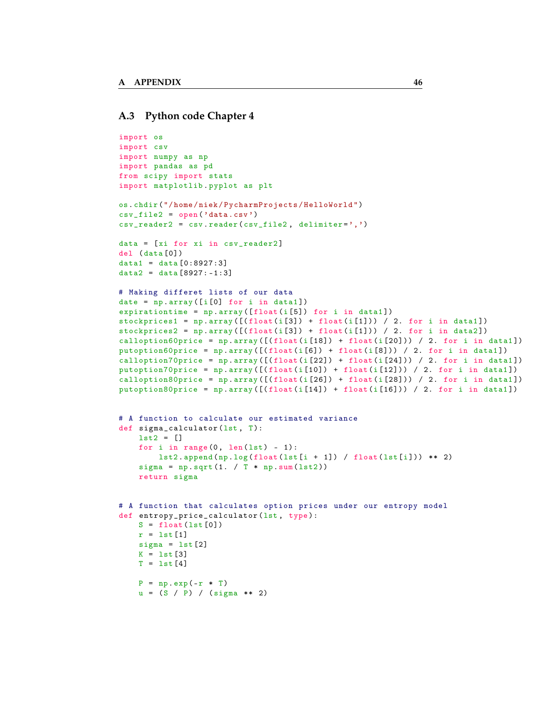#### <span id="page-49-0"></span>**A.3 Python code Chapter 4**

```
import os
import csv
import numpy as np
import pandas as pd
from scipy import stats
import matplotlib . pyplot as plt
os. chdir ("/ home / niek / PycharmProjects / HelloWorld ")
csv_file2 = open ('data .csv ')
csv_reader2 = csv. reader ( csv_file2 , delimiter =',')
data = [xi for xi in csv_reader2]
del ( data [0])
data1 = data [0:8927:3]data2 = data [8927:-1:3]# Making differet lists of our data
date = np. array ([i[0] for i in data1])
expirationtime = np.array([float(i[5]) for i in data1])stock prices1 = np.array([ (float(i[3]) + float(i[1])) / 2. for i in data1])stockprices2 = np.array([ (float(i[3]) + float(i[1])) / 2. for i in data2])
\text{calloption60price = np.array([ (float(i[18]) + float(i[20])) / 2. for i in data1])}putoption60price = np.array([ (float(i[6]) + float(i[8])) / 2. for i in data1])calloption70price = np. array ([( float (i [22]) + float(i [24])) / 2. for i in data1])
putoption70price = np. array ([(float(i[10]) + float(i[12])) / 2. for i in data1])
calloption80price = np.array([ (float(i[26]) + float(i[28])) / 2. for i in data1))
putoption80price = np. array ([(\text{float}(i[14]) + \text{float}(i[16])) / 2. for i in data1))
# A function to calculate our estimated variance
def sigma_calculator (lst, T):
    lst2 = []
    for i in range (0, len(1st) - 1):
        lst2.append(np.log(float(lst[i + 1]) / float(lst[i])) ** 2)signa = np.sqrt(1. / T * np.sum(lst2))return sigma
# A function that calculates option prices under our entropy model
def entropy_price_calculator (lst, type):
    S = float(lst[0])r = 1st[1]signa = 1st[2]K = 1st [3]T = 1st[4]P = np \cdot exp(-r * T)u = (S / P) / (sigma * * 2)
```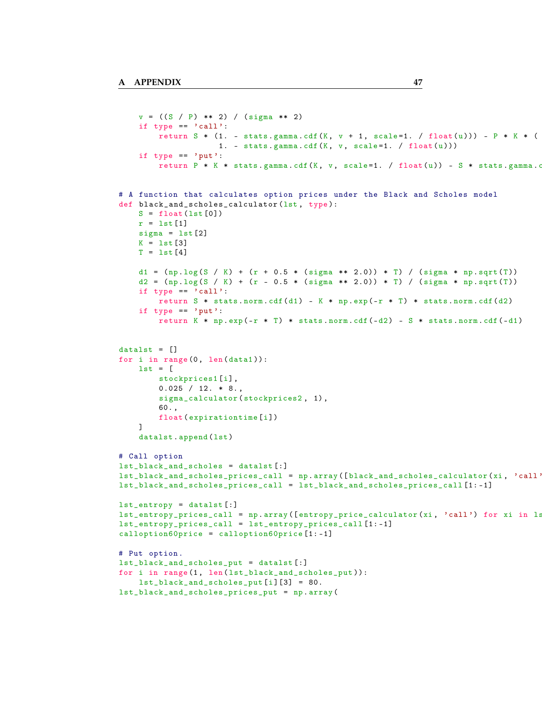```
v = ((S / P) ** 2) / (sigma ** 2)if type == 'call':
        return S * (1. - stats .gamma .cdf (K, v + 1, scale=1. / float (u))) - P * K * (
                     1. - stats.gamma.cdf(K, v, scale=1. / float(u)))if type == 'put':
        return P * K * stats .gamma .cdf (K, v, scale=1. / float (u)) - S * stats .gamma .c
# A function that calculates option prices under the Black and Scholes model
def black_and_scholes_calculator (lst , type ):
    S = float(list[0])r = 1st[1]signa = 1st[2]K = 1st [3]T = 1st [4]d1 = (np.log(S / K) + (r + 0.5 * (sigma ** 2.0)) * T) / (sigma * np.sqrt(T))d2 = (np.log(S / K) + (r - 0.5 * (sigma ** 2.0)) * T) / (sigma * np.sqrt(T))if type == 'call':
        return S * stats . norm . cdf(d1) - K * np . exp(-r * T) * stats . norm . cdf(d2)if type == 'put':
        return K * np.exp(-r * T) * stats.norm.cdf(-d2) - S * stats.norm.cdf(-d1)
data1st = []for i in range (0, len(data1)):
    1st = [stockprices1 [i] ,
        0.025 / 12. * 8.sigma_calculator (stockprices2, 1),
        60. ,
        float ( expirationtime [i])
    ]
    datalst.append (lst)
# Call option
lst_black_and_scholes = datalst [:]
lst_black_and_scholes_prices_call = np. array ([black_and_scholes_calculator (xi, 'call'
lst_black_and_scholes_prices_call = lst_black_and_scholes_prices_call [1: -1]
lst_entropy = datalst [:]
lst_entropy_prices_call = np.array ([entropy_price_calculator(xi, 'call') for xi in ls
lst_entropy_prices_call = lst_entropy_prices_call [1: -1]
calloption60price = calloption60price [1: -1]
# Put option .
lst_black_and_scholes_put = datalst [:]
for i in range (1, len(lst_black_and_scholes_put)):
    lst\_black\_and\_scholes\_put[i] [3] = 80.lst_black_and_scholes_prices_put = np. array (
```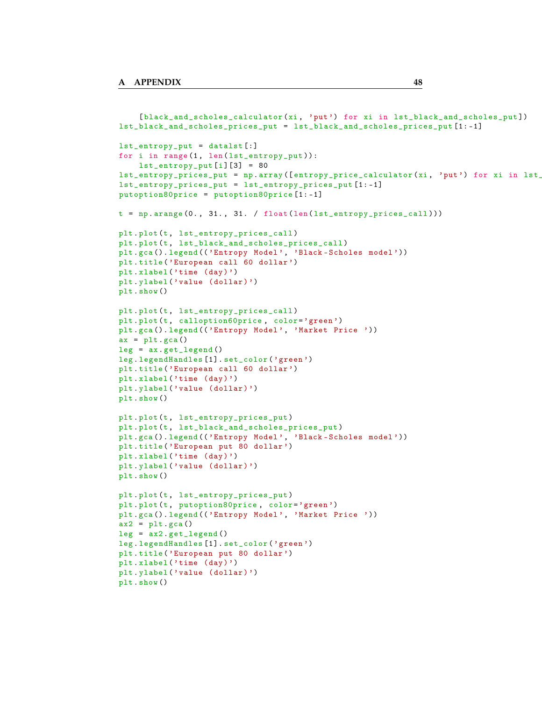```
[black_and_scholes_calculator(xi, 'put') for xi in lst_black_and_scholes_put])
lst_black_and_scholes_prices_put = lst_black_and_scholes_prices_put [1: -1]
lst_entropy_put = datalst [:]
for i in range (1, len(lst_entropy_put)):
    lst{\_}entropy{\_}put[i] [3] = 80lst_entropy_prices_put = np. array ([entropy_price_calculator(xi, 'put') for xi in lst_
lst_entropy_prices_put = lst_entropy_prices_put [1: -1]
putoption80price = putoption80price [1: -1]
t = np.arange(0., 31., 31. / float(len(list_entropy_prices-call)))plt . plot (t, lst_entropy_prices_call )
plt . plot (t, lst_black_and_scholes_prices_call )
plt.gca ().legend (('Entropy Model', 'Black-Scholes model'))
plt . title ('European call 60 dollar ')
plt.xlabel ('time (day)')
plt.ylabel ('value (dollar)')
plt . show ()
plt . plot (t, lst_entropy_prices_call )
plt.plot (t, calloption60price, color='green')
plt.gca ().legend (('Entropy Model', 'Market Price '))
ax = plt.gca()leg = ax. get_legend ()
leg . legendHandles [1]. set_color ('green ')
plt . title ('European call 60 dollar ')
plt.xlabel ('time (day)')
plt.ylabel ('value (dollar)')
plt . show ()
plt . plot (t, lst_entropy_prices_put )
plt . plot (t, lst_black_and_scholes_prices_put )
plt.gca ().legend (('Entropy Model', 'Black-Scholes model'))
plt . title ('European put 80 dollar ')
plt.xlabel ('time (day)')
plt.ylabel ('value (dollar)')
plt . show ()
plt . plot (t, lst_entropy_prices_put )
plt.plot (t, putoption80price, color='green')
plt.gca ().legend (('Entropy Model', 'Market Price '))
ax2 = plt.gca()leg = ax2.get\_legend()leg . legendHandles [1]. set_color ('green ')
plt . title ('European put 80 dollar ')
plt.xlabel ('time (day)')
plt.ylabel ('value (dollar)')
plt . show ()
```